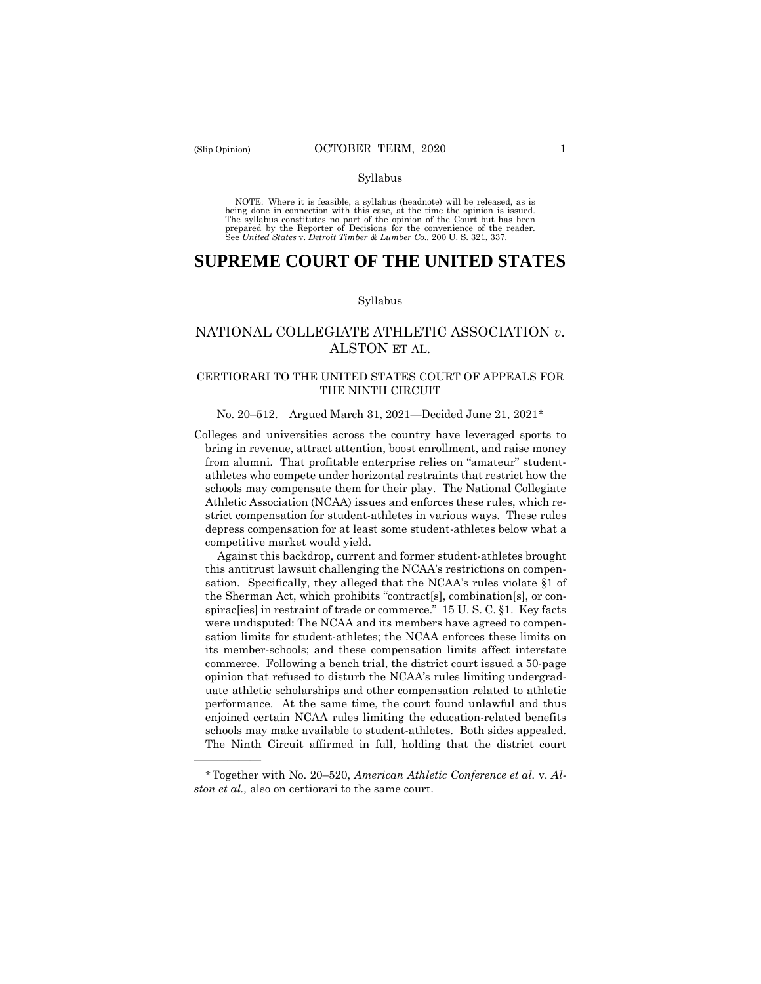——————

#### Syllabus

NOTE: Where it is feasible, a syllabus (headnote) will be released, as is being done in connection with this case, at the time the opinion is issued. The syllabus constitutes no part of the opinion of the Court but has been<br>prepared by the Reporter of Decisions for the convenience of the reader.<br>See United States v. Detroit Timber & Lumber Co., 200 U.S. 321, 337.

## **SUPREME COURT OF THE UNITED STATES**

#### Syllabus

## NATIONAL COLLEGIATE ATHLETIC ASSOCIATION *v*. ALSTON ET AL.

## CERTIORARI TO THE UNITED STATES COURT OF APPEALS FOR THE NINTH CIRCUIT

#### No. 20–512. Argued March 31, 2021—Decided June 21, 2021\*

Colleges and universities across the country have leveraged sports to bring in revenue, attract attention, boost enrollment, and raise money from alumni. That profitable enterprise relies on "amateur" studentathletes who compete under horizontal restraints that restrict how the schools may compensate them for their play. The National Collegiate Athletic Association (NCAA) issues and enforces these rules, which restrict compensation for student-athletes in various ways. These rules depress compensation for at least some student-athletes below what a competitive market would yield.

 Against this backdrop, current and former student-athletes brought this antitrust lawsuit challenging the NCAA's restrictions on compensation. Specifically, they alleged that the NCAA's rules violate §1 of the Sherman Act, which prohibits "contract[s], combination[s], or conspirac[ies] in restraint of trade or commerce." 15 U. S. C. §1. Key facts were undisputed: The NCAA and its members have agreed to compensation limits for student-athletes; the NCAA enforces these limits on its member-schools; and these compensation limits affect interstate commerce. Following a bench trial, the district court issued a 50-page opinion that refused to disturb the NCAA's rules limiting undergraduate athletic scholarships and other compensation related to athletic performance. At the same time, the court found unlawful and thus enjoined certain NCAA rules limiting the education-related benefits schools may make available to student-athletes. Both sides appealed. The Ninth Circuit affirmed in full, holding that the district court

<sup>\*</sup>Together with No. 20–520, *American Athletic Conference et al.* v. *Alston et al.,* also on certiorari to the same court.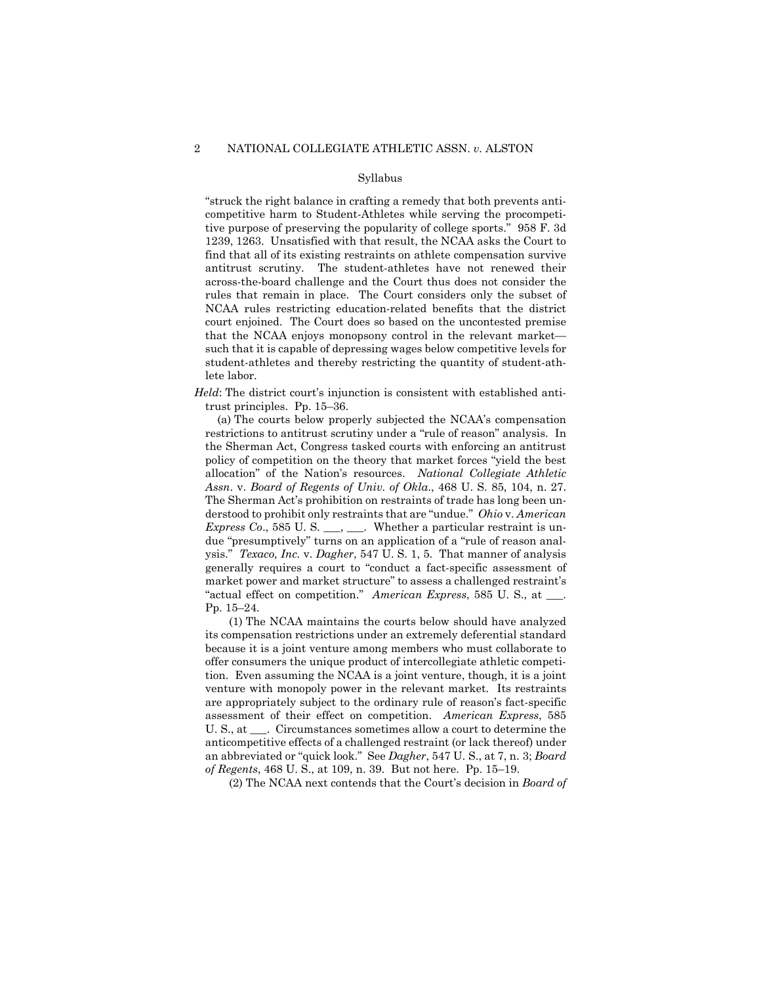#### Syllabus

"struck the right balance in crafting a remedy that both prevents anticompetitive harm to Student-Athletes while serving the procompetitive purpose of preserving the popularity of college sports." 958 F. 3d 1239, 1263. Unsatisfied with that result, the NCAA asks the Court to find that all of its existing restraints on athlete compensation survive antitrust scrutiny. The student-athletes have not renewed their across-the-board challenge and the Court thus does not consider the rules that remain in place. The Court considers only the subset of NCAA rules restricting education-related benefits that the district court enjoined. The Court does so based on the uncontested premise that the NCAA enjoys monopsony control in the relevant market such that it is capable of depressing wages below competitive levels for student-athletes and thereby restricting the quantity of student-athlete labor.

*Held*: The district court's injunction is consistent with established antitrust principles. Pp. 15–36.

 (a) The courts below properly subjected the NCAA's compensation restrictions to antitrust scrutiny under a "rule of reason" analysis. In the Sherman Act, Congress tasked courts with enforcing an antitrust policy of competition on the theory that market forces "yield the best allocation" of the Nation's resources. *National Collegiate Athletic Assn*. v. *Board of Regents of Univ. of Okla*., 468 U. S. 85, 104, n. 27. The Sherman Act's prohibition on restraints of trade has long been understood to prohibit only restraints that are "undue." *Ohio* v. *American Express Co.*, 585 U.S. \_\_\_, \_\_\_. Whether a particular restraint is undue "presumptively" turns on an application of a "rule of reason analysis." *Texaco, Inc.* v. *Dagher*, 547 U. S. 1, 5. That manner of analysis generally requires a court to "conduct a fact-specific assessment of market power and market structure" to assess a challenged restraint's "actual effect on competition." *American Express*, 585 U. S., at \_\_\_. Pp. 15–24.

 (1) The NCAA maintains the courts below should have analyzed its compensation restrictions under an extremely deferential standard because it is a joint venture among members who must collaborate to offer consumers the unique product of intercollegiate athletic competition. Even assuming the NCAA is a joint venture, though, it is a joint venture with monopoly power in the relevant market. Its restraints are appropriately subject to the ordinary rule of reason's fact-specific assessment of their effect on competition. *American Express*, 585 U. S., at \_\_\_. Circumstances sometimes allow a court to determine the anticompetitive effects of a challenged restraint (or lack thereof) under an abbreviated or "quick look." See *Dagher*, 547 U. S., at 7, n. 3; *Board of Regents*, 468 U. S., at 109, n. 39. But not here. Pp. 15–19.

(2) The NCAA next contends that the Court's decision in *Board of*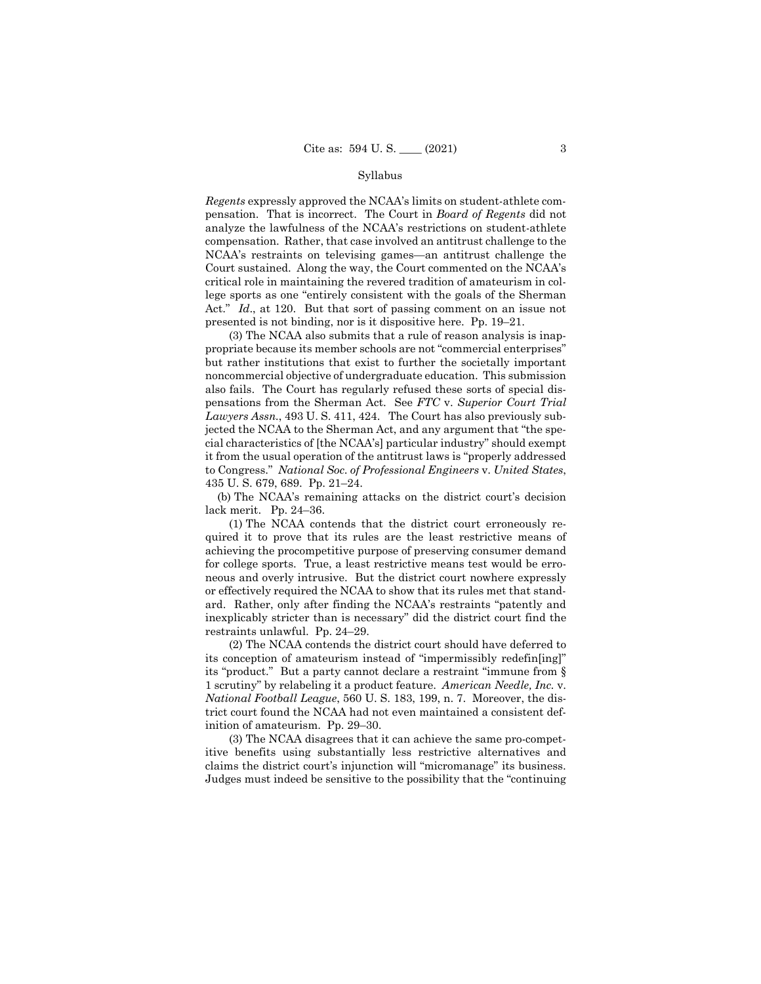#### Syllabus

*Regents* expressly approved the NCAA's limits on student-athlete compensation. That is incorrect. The Court in *Board of Regents* did not analyze the lawfulness of the NCAA's restrictions on student-athlete compensation. Rather, that case involved an antitrust challenge to the NCAA's restraints on televising games—an antitrust challenge the Court sustained. Along the way, the Court commented on the NCAA's critical role in maintaining the revered tradition of amateurism in college sports as one "entirely consistent with the goals of the Sherman Act." *Id*., at 120. But that sort of passing comment on an issue not presented is not binding, nor is it dispositive here. Pp. 19–21.

 (3) The NCAA also submits that a rule of reason analysis is inappropriate because its member schools are not "commercial enterprises" but rather institutions that exist to further the societally important noncommercial objective of undergraduate education. This submission also fails. The Court has regularly refused these sorts of special dispensations from the Sherman Act. See *FTC* v. *Superior Court Trial Lawyers Assn.*, 493 U. S. 411, 424. The Court has also previously subjected the NCAA to the Sherman Act, and any argument that "the special characteristics of [the NCAA's] particular industry" should exempt it from the usual operation of the antitrust laws is "properly addressed to Congress." *National Soc. of Professional Engineers* v. *United States*, 435 U. S. 679, 689. Pp. 21–24.

 (b) The NCAA's remaining attacks on the district court's decision lack merit. Pp. 24–36.

 (1) The NCAA contends that the district court erroneously required it to prove that its rules are the least restrictive means of achieving the procompetitive purpose of preserving consumer demand for college sports. True, a least restrictive means test would be erroneous and overly intrusive. But the district court nowhere expressly or effectively required the NCAA to show that its rules met that standard. Rather, only after finding the NCAA's restraints "patently and inexplicably stricter than is necessary" did the district court find the restraints unlawful. Pp. 24–29.

 (2) The NCAA contends the district court should have deferred to its conception of amateurism instead of "impermissibly redefin[ing]" its "product." But a party cannot declare a restraint "immune from § 1 scrutiny" by relabeling it a product feature. *American Needle, Inc.* v. *National Football League*, 560 U. S. 183, 199, n. 7. Moreover, the district court found the NCAA had not even maintained a consistent definition of amateurism. Pp. 29–30.

 (3) The NCAA disagrees that it can achieve the same pro-competitive benefits using substantially less restrictive alternatives and claims the district court's injunction will "micromanage" its business. Judges must indeed be sensitive to the possibility that the "continuing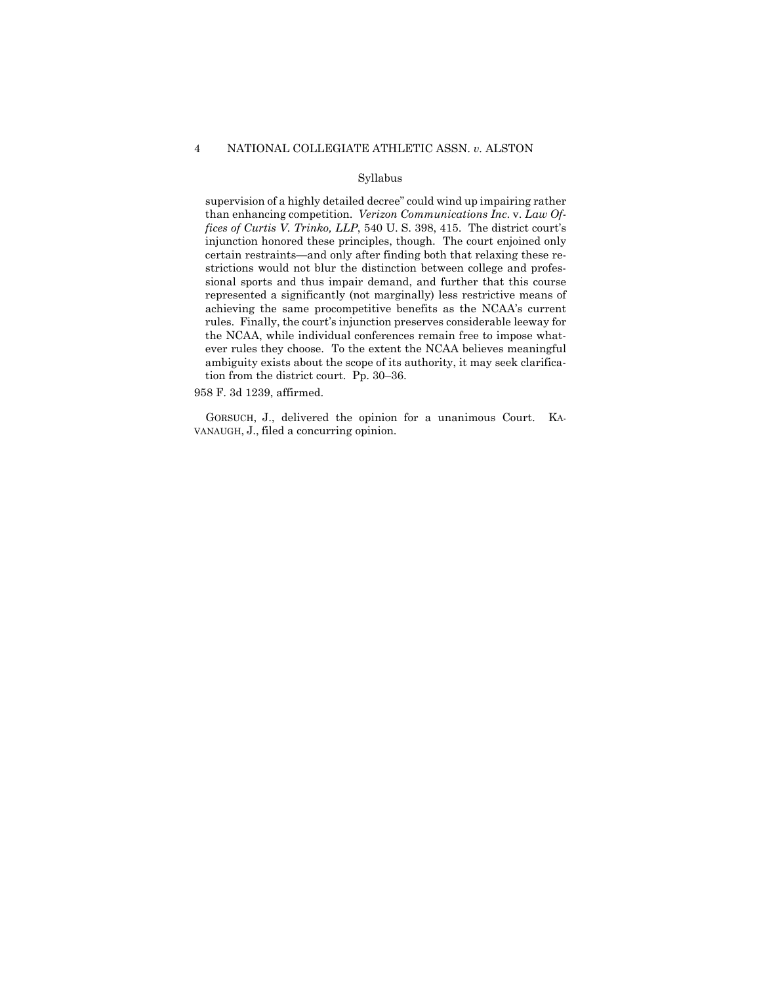#### 4 NATIONAL COLLEGIATE ATHLETIC ASSN. *v.* ALSTON

#### Syllabus

supervision of a highly detailed decree" could wind up impairing rather than enhancing competition. *Verizon Communications Inc*. v. *Law Offices of Curtis V. Trinko, LLP*, 540 U. S. 398, 415. The district court's injunction honored these principles, though. The court enjoined only certain restraints—and only after finding both that relaxing these restrictions would not blur the distinction between college and professional sports and thus impair demand, and further that this course represented a significantly (not marginally) less restrictive means of achieving the same procompetitive benefits as the NCAA's current rules. Finally, the court's injunction preserves considerable leeway for the NCAA, while individual conferences remain free to impose whatever rules they choose. To the extent the NCAA believes meaningful ambiguity exists about the scope of its authority, it may seek clarification from the district court. Pp. 30–36.

958 F. 3d 1239, affirmed.

 GORSUCH, J., delivered the opinion for a unanimous Court. KA-VANAUGH, J., filed a concurring opinion.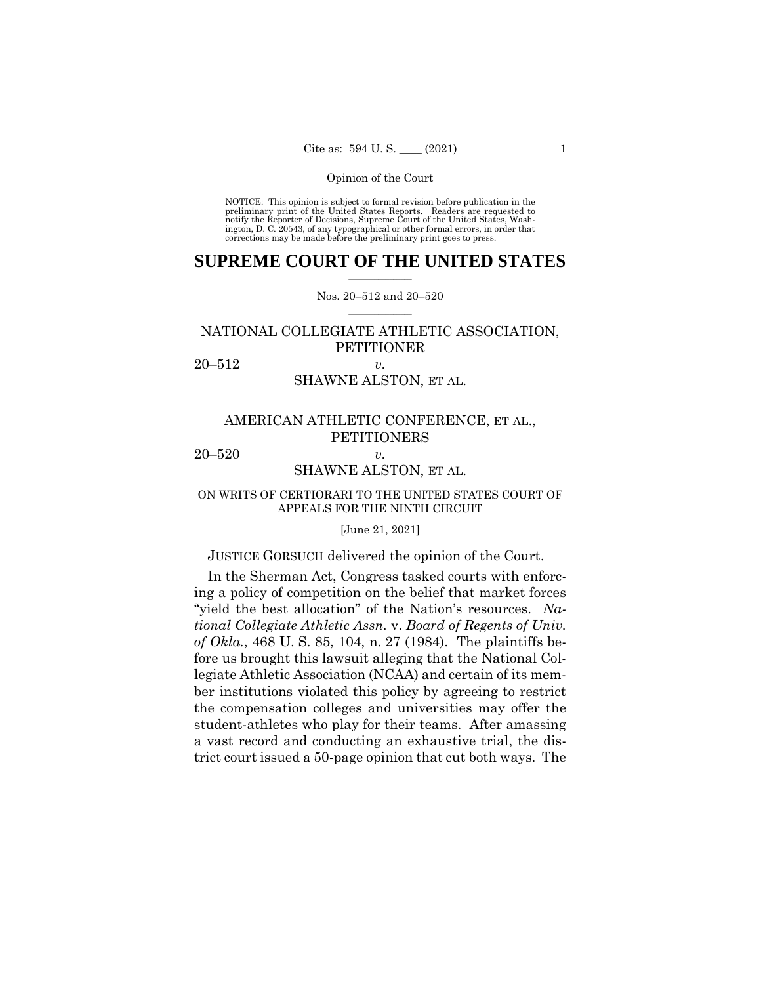NOTICE: This opinion is subject to formal revision before publication in the preliminary print of the United States Reports. Readers are requested to notify the Reporter of Decisions, Supreme Court of the United States, Wash-ington, D. C. 20543, of any typographical or other formal errors, in order that corrections may be made before the preliminary print goes to press.

### $\frac{1}{2}$  , where  $\frac{1}{2}$ **SUPREME COURT OF THE UNITED STATES**

 $\frac{1}{2}$  ,  $\frac{1}{2}$  ,  $\frac{1}{2}$  ,  $\frac{1}{2}$  ,  $\frac{1}{2}$  ,  $\frac{1}{2}$ Nos. 20–512 and 20–520

## NATIONAL COLLEGIATE ATHLETIC ASSOCIATION, **PETITIONER**

20–512 *v.* 

## SHAWNE ALSTON, ET AL.

## AMERICAN ATHLETIC CONFERENCE, ET AL., PETITIONERS

20–520 *v.* 

## SHAWNE ALSTON, ET AL.

## ON WRITS OF CERTIORARI TO THE UNITED STATES COURT OF APPEALS FOR THE NINTH CIRCUIT

### [June 21, 2021]

## JUSTICE GORSUCH delivered the opinion of the Court.

In the Sherman Act, Congress tasked courts with enforcing a policy of competition on the belief that market forces "yield the best allocation" of the Nation's resources. *National Collegiate Athletic Assn.* v. *Board of Regents of Univ. of Okla.*, 468 U. S. 85, 104, n. 27 (1984). The plaintiffs before us brought this lawsuit alleging that the National Collegiate Athletic Association (NCAA) and certain of its member institutions violated this policy by agreeing to restrict the compensation colleges and universities may offer the student-athletes who play for their teams. After amassing a vast record and conducting an exhaustive trial, the district court issued a 50-page opinion that cut both ways. The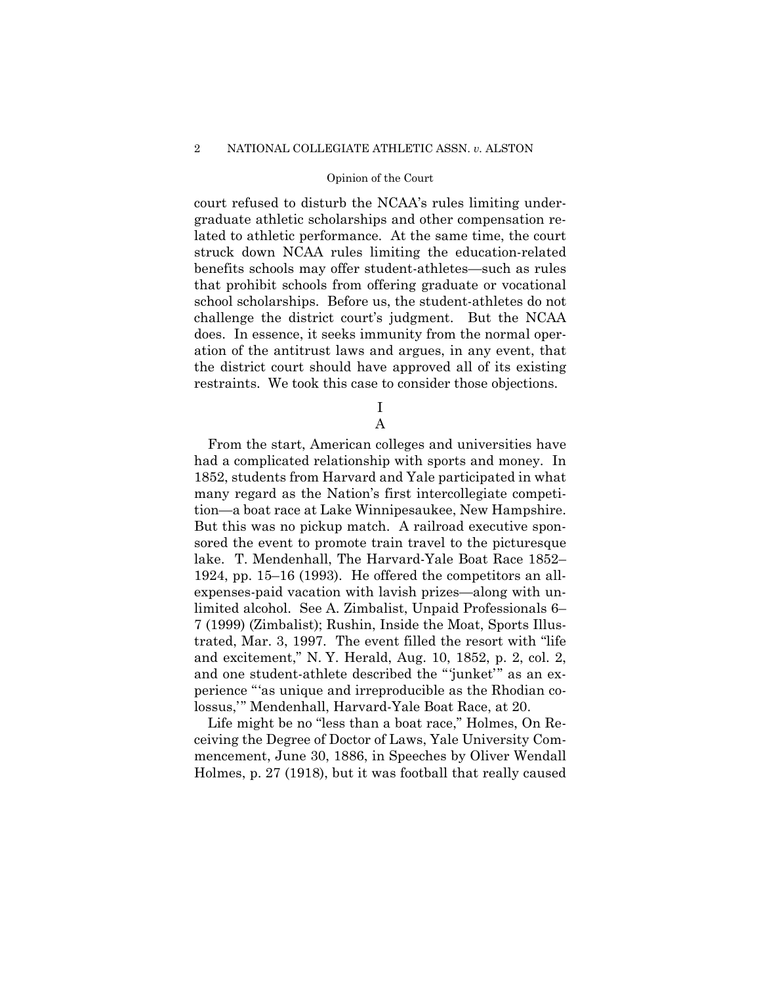court refused to disturb the NCAA's rules limiting undergraduate athletic scholarships and other compensation related to athletic performance. At the same time, the court struck down NCAA rules limiting the education-related benefits schools may offer student-athletes—such as rules that prohibit schools from offering graduate or vocational school scholarships. Before us, the student-athletes do not challenge the district court's judgment. But the NCAA does. In essence, it seeks immunity from the normal operation of the antitrust laws and argues, in any event, that the district court should have approved all of its existing restraints. We took this case to consider those objections.

> I A

From the start, American colleges and universities have had a complicated relationship with sports and money. In 1852, students from Harvard and Yale participated in what many regard as the Nation's first intercollegiate competition—a boat race at Lake Winnipesaukee, New Hampshire. But this was no pickup match. A railroad executive sponsored the event to promote train travel to the picturesque lake. T. Mendenhall, The Harvard-Yale Boat Race 1852– 1924, pp. 15–16 (1993). He offered the competitors an allexpenses-paid vacation with lavish prizes—along with unlimited alcohol. See A. Zimbalist, Unpaid Professionals 6– 7 (1999) (Zimbalist); Rushin, Inside the Moat, Sports Illustrated, Mar. 3, 1997. The event filled the resort with "life and excitement," N. Y. Herald, Aug. 10, 1852, p. 2, col. 2, and one student-athlete described the "'junket'" as an experience "'as unique and irreproducible as the Rhodian colossus,'" Mendenhall, Harvard-Yale Boat Race, at 20.

Life might be no "less than a boat race," Holmes, On Receiving the Degree of Doctor of Laws, Yale University Commencement, June 30, 1886, in Speeches by Oliver Wendall Holmes, p. 27 (1918), but it was football that really caused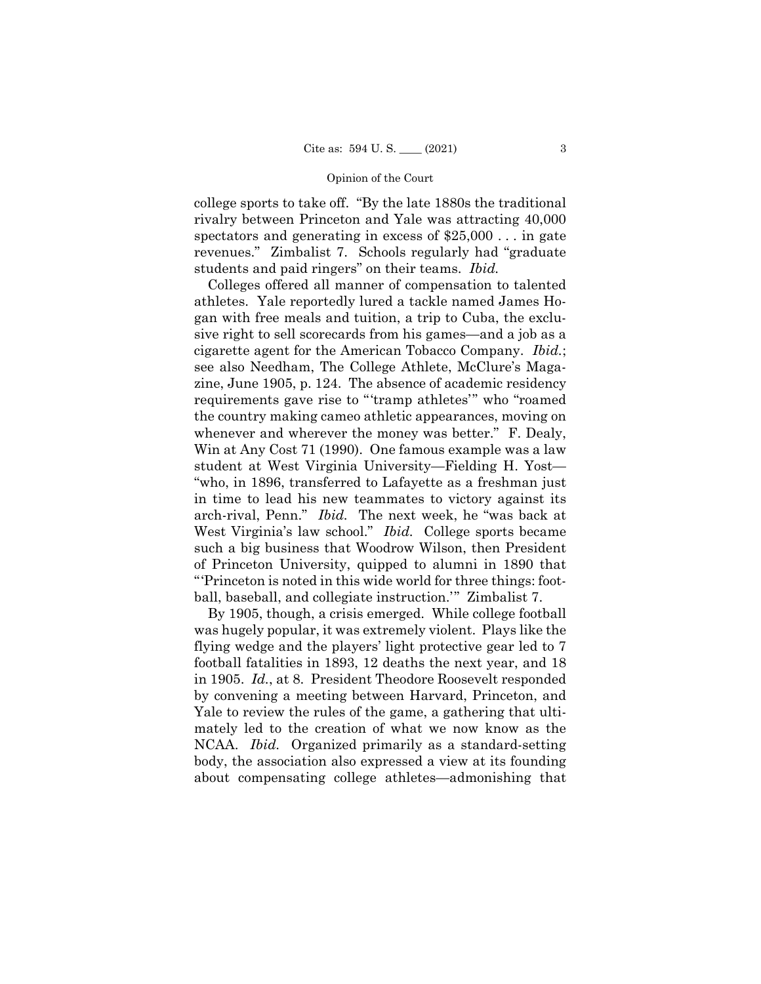college sports to take off. "By the late 1880s the traditional rivalry between Princeton and Yale was attracting 40,000 spectators and generating in excess of \$25,000 . . . in gate revenues." Zimbalist 7. Schools regularly had "graduate students and paid ringers" on their teams. *Ibid.* 

West Virginia's law school." *Ibid.* College sports became Colleges offered all manner of compensation to talented athletes. Yale reportedly lured a tackle named James Hogan with free meals and tuition, a trip to Cuba, the exclusive right to sell scorecards from his games—and a job as a cigarette agent for the American Tobacco Company. *Ibid.*; see also Needham, The College Athlete, McClure's Magazine, June 1905, p. 124. The absence of academic residency requirements gave rise to "'tramp athletes'" who "roamed the country making cameo athletic appearances, moving on whenever and wherever the money was better." F. Dealy, Win at Any Cost 71 (1990). One famous example was a law student at West Virginia University—Fielding H. Yost— "who, in 1896, transferred to Lafayette as a freshman just in time to lead his new teammates to victory against its arch-rival, Penn." *Ibid.* The next week, he "was back at such a big business that Woodrow Wilson, then President of Princeton University, quipped to alumni in 1890 that "'Princeton is noted in this wide world for three things: football, baseball, and collegiate instruction.'" Zimbalist 7.

By 1905, though, a crisis emerged. While college football was hugely popular, it was extremely violent. Plays like the flying wedge and the players' light protective gear led to 7 football fatalities in 1893, 12 deaths the next year, and 18 in 1905. *Id.*, at 8. President Theodore Roosevelt responded by convening a meeting between Harvard, Princeton, and Yale to review the rules of the game, a gathering that ultimately led to the creation of what we now know as the NCAA. *Ibid.* Organized primarily as a standard-setting body, the association also expressed a view at its founding about compensating college athletes—admonishing that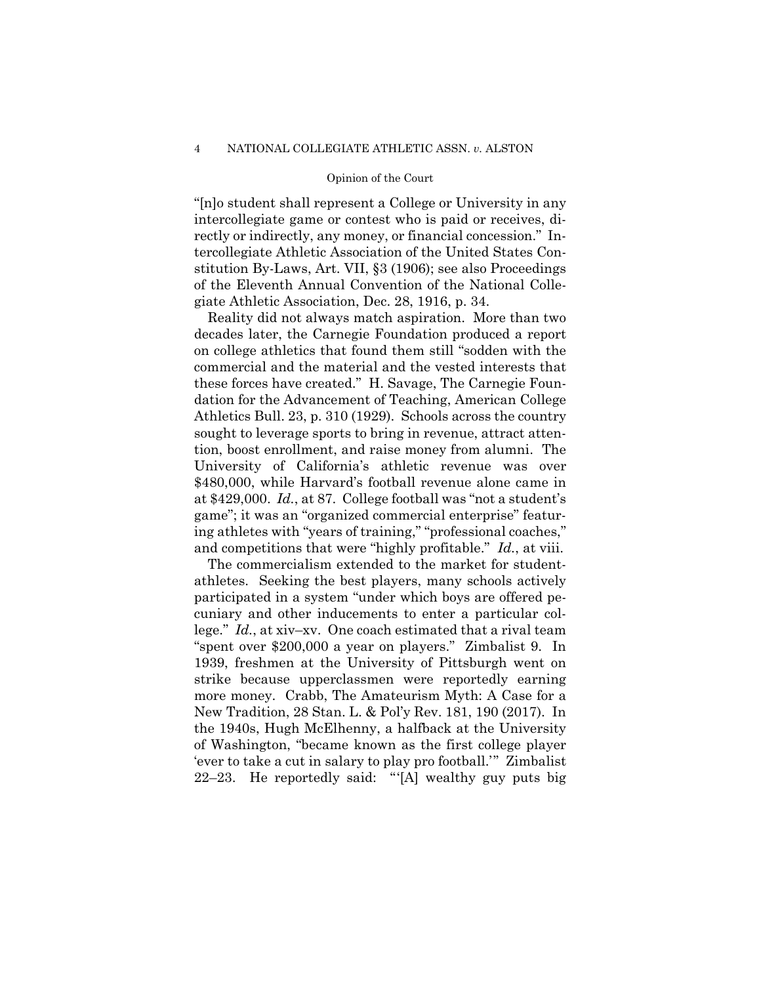"[n]o student shall represent a College or University in any intercollegiate game or contest who is paid or receives, directly or indirectly, any money, or financial concession." Intercollegiate Athletic Association of the United States Constitution By-Laws, Art. VII, §3 (1906); see also Proceedings of the Eleventh Annual Convention of the National Collegiate Athletic Association, Dec. 28, 1916, p. 34.

Athletics Bull. 23, p. 310 (1929). Schools across the country Reality did not always match aspiration. More than two decades later, the Carnegie Foundation produced a report on college athletics that found them still "sodden with the commercial and the material and the vested interests that these forces have created." H. Savage, The Carnegie Foundation for the Advancement of Teaching, American College sought to leverage sports to bring in revenue, attract attention, boost enrollment, and raise money from alumni. The University of California's athletic revenue was over \$480,000, while Harvard's football revenue alone came in at \$429,000. *Id.*, at 87. College football was "not a student's game"; it was an "organized commercial enterprise" featuring athletes with "years of training," "professional coaches," and competitions that were "highly profitable." *Id.*, at viii.

The commercialism extended to the market for studentathletes. Seeking the best players, many schools actively participated in a system "under which boys are offered pecuniary and other inducements to enter a particular college." *Id.*, at xiv–xv. One coach estimated that a rival team "spent over \$200,000 a year on players." Zimbalist 9. In 1939, freshmen at the University of Pittsburgh went on strike because upperclassmen were reportedly earning more money. Crabb, The Amateurism Myth: A Case for a New Tradition, 28 Stan. L. & Pol'y Rev. 181, 190 (2017). In the 1940s, Hugh McElhenny, a halfback at the University of Washington, "became known as the first college player 'ever to take a cut in salary to play pro football.'" Zimbalist 22–23. He reportedly said: "'[A] wealthy guy puts big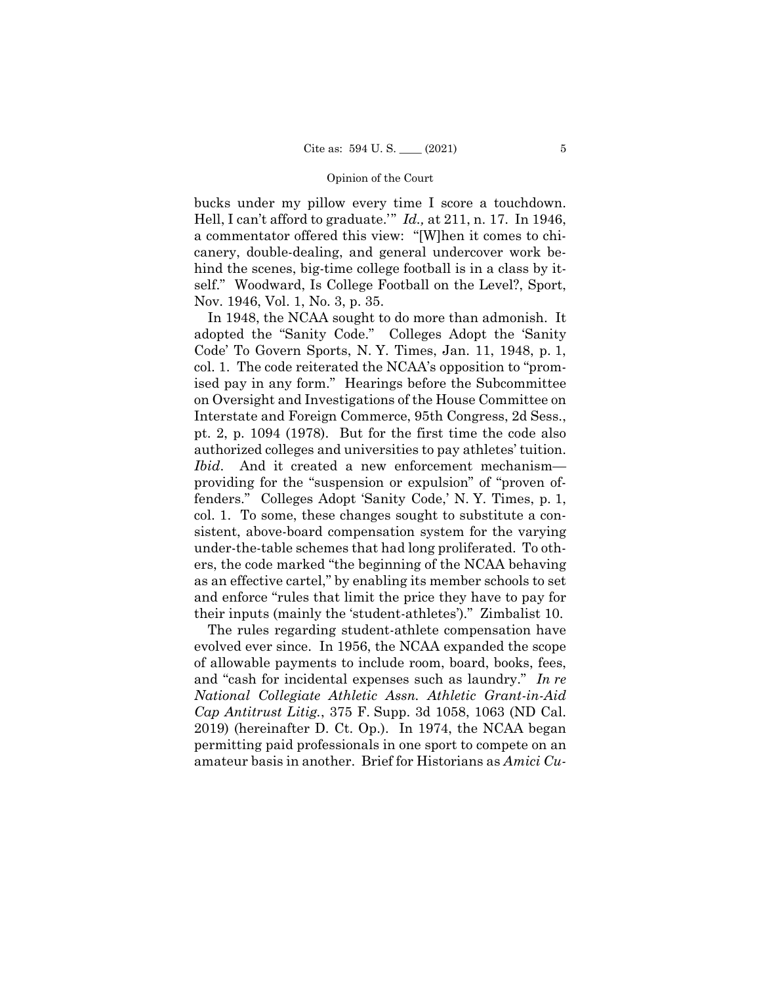bucks under my pillow every time I score a touchdown. Hell, I can't afford to graduate.'" *Id.,* at 211, n. 17. In 1946, a commentator offered this view: "[W]hen it comes to chicanery, double-dealing, and general undercover work behind the scenes, big-time college football is in a class by itself." Woodward, Is College Football on the Level?, Sport, Nov. 1946, Vol. 1, No. 3, p. 35.

In 1948, the NCAA sought to do more than admonish. It adopted the "Sanity Code." Colleges Adopt the 'Sanity Code' To Govern Sports, N. Y. Times, Jan. 11, 1948, p. 1, col. 1. The code reiterated the NCAA's opposition to "promised pay in any form." Hearings before the Subcommittee on Oversight and Investigations of the House Committee on Interstate and Foreign Commerce, 95th Congress, 2d Sess., pt. 2, p. 1094 (1978). But for the first time the code also authorized colleges and universities to pay athletes' tuition. *Ibid*. And it created a new enforcement mechanism providing for the "suspension or expulsion" of "proven offenders." Colleges Adopt 'Sanity Code,' N. Y. Times, p. 1, col. 1. To some, these changes sought to substitute a consistent, above-board compensation system for the varying under-the-table schemes that had long proliferated. To others, the code marked "the beginning of the NCAA behaving as an effective cartel," by enabling its member schools to set and enforce "rules that limit the price they have to pay for their inputs (mainly the 'student-athletes')." Zimbalist 10.

The rules regarding student-athlete compensation have evolved ever since. In 1956, the NCAA expanded the scope of allowable payments to include room, board, books, fees, and "cash for incidental expenses such as laundry." *In re National Collegiate Athletic Assn. Athletic Grant-in-Aid Cap Antitrust Litig.*, 375 F. Supp. 3d 1058, 1063 (ND Cal. 2019) (hereinafter D. Ct. Op.). In 1974, the NCAA began permitting paid professionals in one sport to compete on an amateur basis in another. Brief for Historians as *Amici Cu-*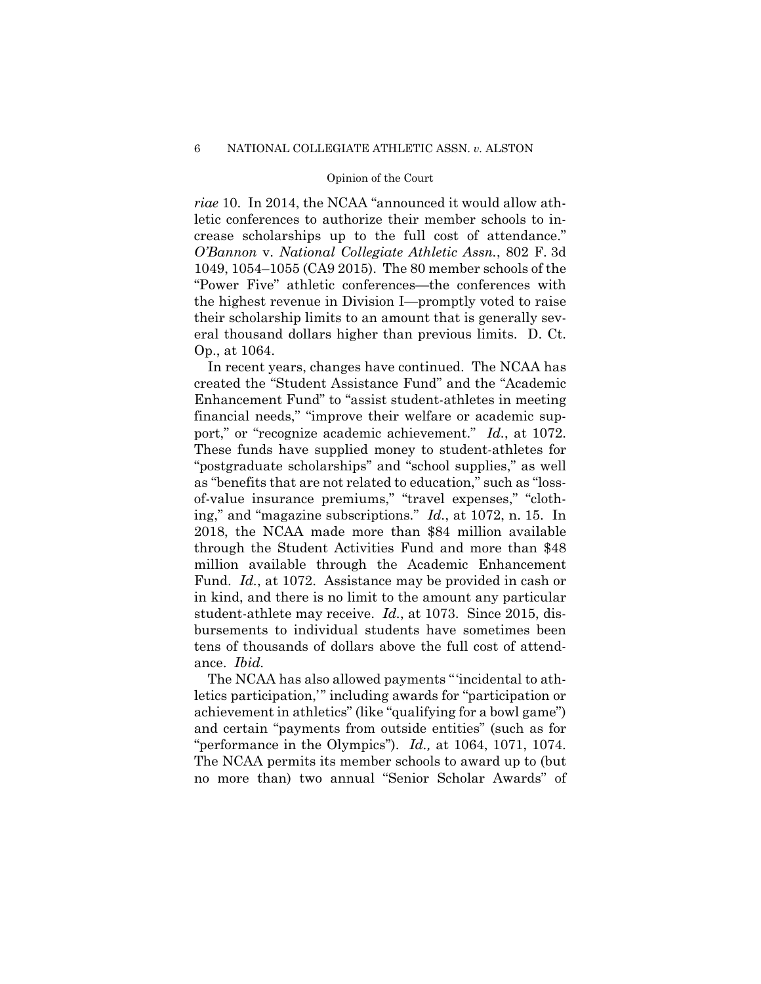*riae* 10. In 2014, the NCAA "announced it would allow athletic conferences to authorize their member schools to increase scholarships up to the full cost of attendance." *O'Bannon* v. *National Collegiate Athletic Assn.*, 802 F. 3d 1049, 1054–1055 (CA9 2015). The 80 member schools of the "Power Five" athletic conferences—the conferences with the highest revenue in Division I—promptly voted to raise their scholarship limits to an amount that is generally several thousand dollars higher than previous limits. D. Ct. Op., at 1064.

In recent years, changes have continued. The NCAA has created the "Student Assistance Fund" and the "Academic Enhancement Fund" to "assist student-athletes in meeting financial needs," "improve their welfare or academic support," or "recognize academic achievement." *Id.*, at 1072. These funds have supplied money to student-athletes for "postgraduate scholarships" and "school supplies," as well as "benefits that are not related to education," such as "lossof-value insurance premiums," "travel expenses," "clothing," and "magazine subscriptions." *Id.*, at 1072, n. 15. In 2018, the NCAA made more than \$84 million available through the Student Activities Fund and more than \$48 million available through the Academic Enhancement Fund. *Id.*, at 1072. Assistance may be provided in cash or in kind, and there is no limit to the amount any particular student-athlete may receive. *Id.*, at 1073. Since 2015, disbursements to individual students have sometimes been tens of thousands of dollars above the full cost of attendance. *Ibid.* 

The NCAA has also allowed payments "'incidental to athletics participation,'" including awards for "participation or achievement in athletics" (like "qualifying for a bowl game") and certain "payments from outside entities" (such as for "performance in the Olympics"). *Id.,* at 1064, 1071, 1074. The NCAA permits its member schools to award up to (but no more than) two annual "Senior Scholar Awards" of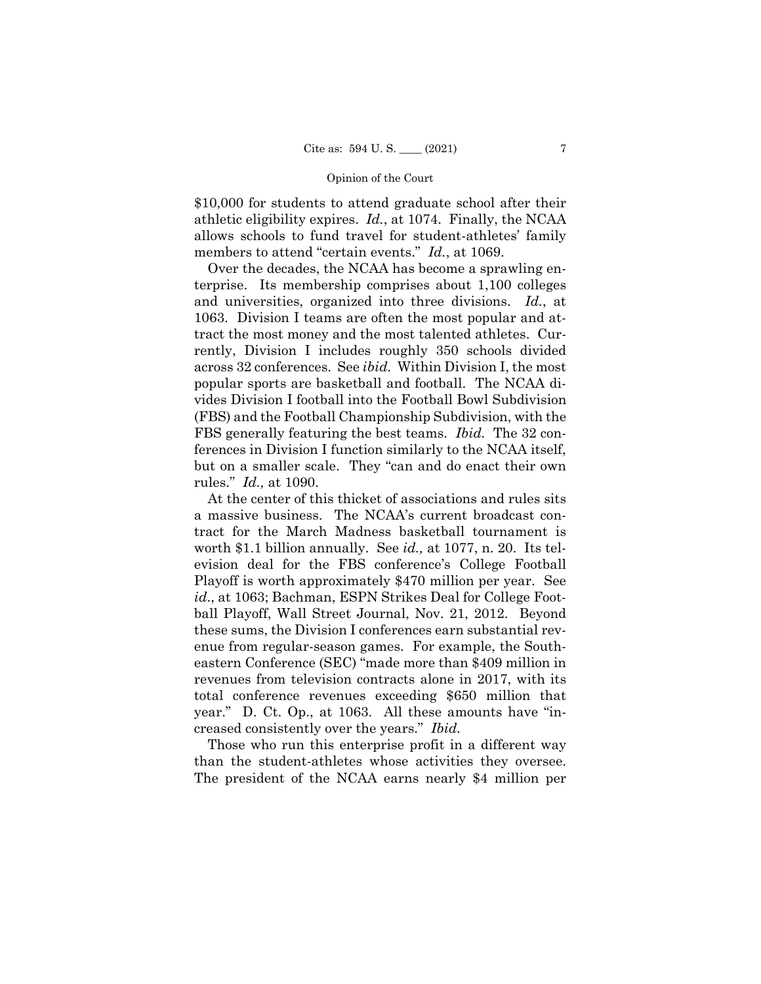\$10,000 for students to attend graduate school after their athletic eligibility expires. *Id.*, at 1074. Finally, the NCAA allows schools to fund travel for student-athletes' family members to attend "certain events." *Id.*, at 1069.

FBS generally featuring the best teams. *Ibid*. The 32 con-Over the decades, the NCAA has become a sprawling enterprise. Its membership comprises about 1,100 colleges and universities, organized into three divisions. *Id.*, at 1063. Division I teams are often the most popular and attract the most money and the most talented athletes. Currently, Division I includes roughly 350 schools divided across 32 conferences. See *ibid.* Within Division I, the most popular sports are basketball and football. The NCAA divides Division I football into the Football Bowl Subdivision (FBS) and the Football Championship Subdivision, with the ferences in Division I function similarly to the NCAA itself, but on a smaller scale. They "can and do enact their own rules." *Id.,* at 1090.

At the center of this thicket of associations and rules sits a massive business. The NCAA's current broadcast contract for the March Madness basketball tournament is worth \$1.1 billion annually. See *id.,* at 1077, n. 20. Its television deal for the FBS conference's College Football Playoff is worth approximately \$470 million per year. See *id*., at 1063; Bachman, ESPN Strikes Deal for College Football Playoff, Wall Street Journal, Nov. 21, 2012. Beyond these sums, the Division I conferences earn substantial revenue from regular-season games. For example, the Southeastern Conference (SEC) "made more than \$409 million in revenues from television contracts alone in 2017, with its total conference revenues exceeding \$650 million that year." D. Ct. Op., at 1063. All these amounts have "increased consistently over the years." *Ibid.* 

Those who run this enterprise profit in a different way than the student-athletes whose activities they oversee. The president of the NCAA earns nearly \$4 million per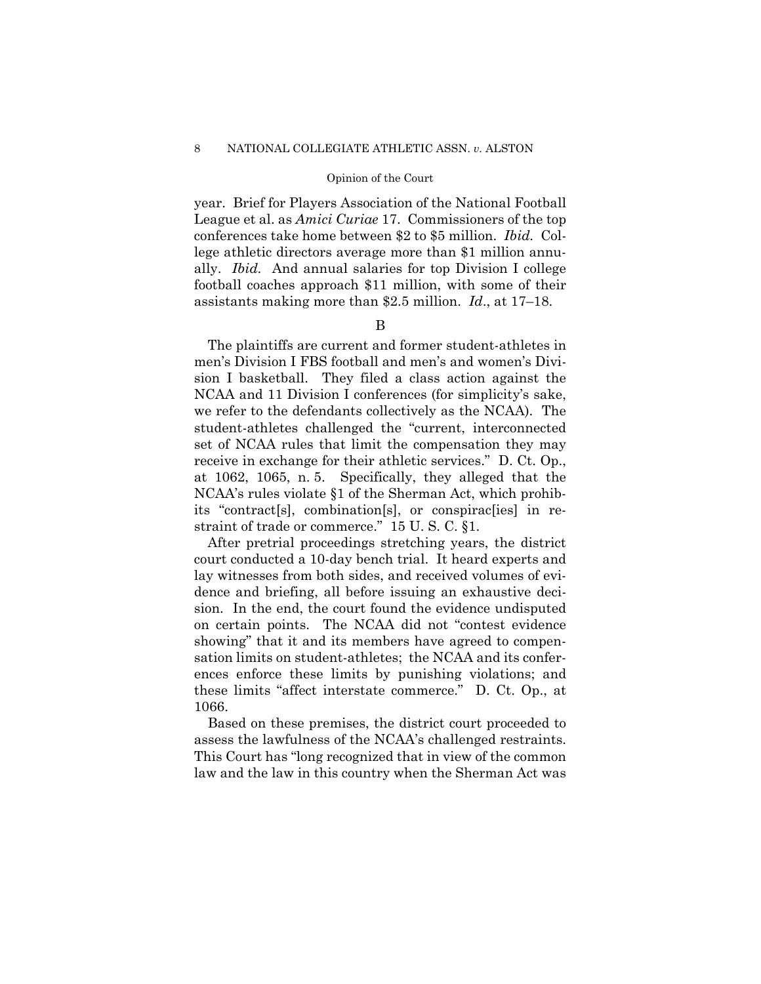year. Brief for Players Association of the National Football League et al. as *Amici Curiae* 17. Commissioners of the top conferences take home between \$2 to \$5 million. *Ibid.* College athletic directors average more than \$1 million annually. *Ibid.* And annual salaries for top Division I college football coaches approach \$11 million, with some of their assistants making more than \$2.5 million. *Id*., at 17–18.

### B

The plaintiffs are current and former student-athletes in men's Division I FBS football and men's and women's Division I basketball. They filed a class action against the NCAA and 11 Division I conferences (for simplicity's sake, we refer to the defendants collectively as the NCAA). The student-athletes challenged the "current, interconnected set of NCAA rules that limit the compensation they may receive in exchange for their athletic services." D. Ct. Op., at 1062, 1065, n. 5. Specifically, they alleged that the NCAA's rules violate §1 of the Sherman Act, which prohibits "contract[s], combination[s], or conspirac[ies] in restraint of trade or commerce." 15 U. S. C. §1.

After pretrial proceedings stretching years, the district court conducted a 10-day bench trial. It heard experts and lay witnesses from both sides, and received volumes of evidence and briefing, all before issuing an exhaustive decision. In the end, the court found the evidence undisputed on certain points. The NCAA did not "contest evidence showing" that it and its members have agreed to compensation limits on student-athletes; the NCAA and its conferences enforce these limits by punishing violations; and these limits "affect interstate commerce." D. Ct. Op., at 1066.

Based on these premises, the district court proceeded to assess the lawfulness of the NCAA's challenged restraints. This Court has "long recognized that in view of the common law and the law in this country when the Sherman Act was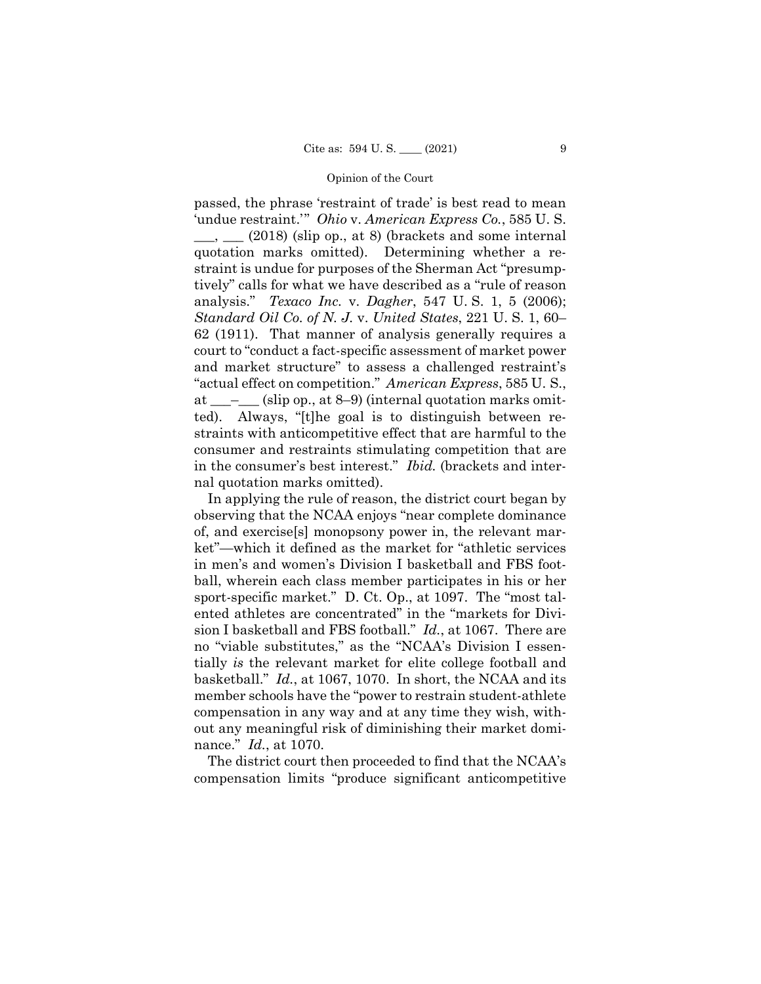passed, the phrase 'restraint of trade' is best read to mean 'undue restraint.'" *Ohio* v. *American Express Co.*, 585 U. S.  $\_\_\_\_\_\_\_\_\_\_\_\_\_\_\_$  (2018) (slip op., at 8) (brackets and some internal quotation marks omitted). Determining whether a restraint is undue for purposes of the Sherman Act "presumptively" calls for what we have described as a "rule of reason analysis." *Texaco Inc.* v. *Dagher*, 547 U. S. 1, 5 (2006); *Standard Oil Co. of N. J.* v. *United States*, 221 U. S. 1, 60– 62 (1911). That manner of analysis generally requires a court to "conduct a fact-specific assessment of market power and market structure" to assess a challenged restraint's "actual effect on competition." *American Express*, 585 U. S., at  $\_\_\_\_\_$  (slip op., at 8–9) (internal quotation marks omitted). Always, "[t]he goal is to distinguish between restraints with anticompetitive effect that are harmful to the consumer and restraints stimulating competition that are in the consumer's best interest." *Ibid.* (brackets and internal quotation marks omitted).

In applying the rule of reason, the district court began by observing that the NCAA enjoys "near complete dominance of, and exercise[s] monopsony power in, the relevant market"—which it defined as the market for "athletic services in men's and women's Division I basketball and FBS football, wherein each class member participates in his or her sport-specific market." D. Ct. Op., at 1097. The "most talented athletes are concentrated" in the "markets for Division I basketball and FBS football." *Id.*, at 1067. There are no "viable substitutes," as the "NCAA's Division I essentially *is* the relevant market for elite college football and basketball." *Id.*, at 1067, 1070. In short, the NCAA and its member schools have the "power to restrain student-athlete compensation in any way and at any time they wish, without any meaningful risk of diminishing their market dominance." *Id.*, at 1070.

The district court then proceeded to find that the NCAA's compensation limits "produce significant anticompetitive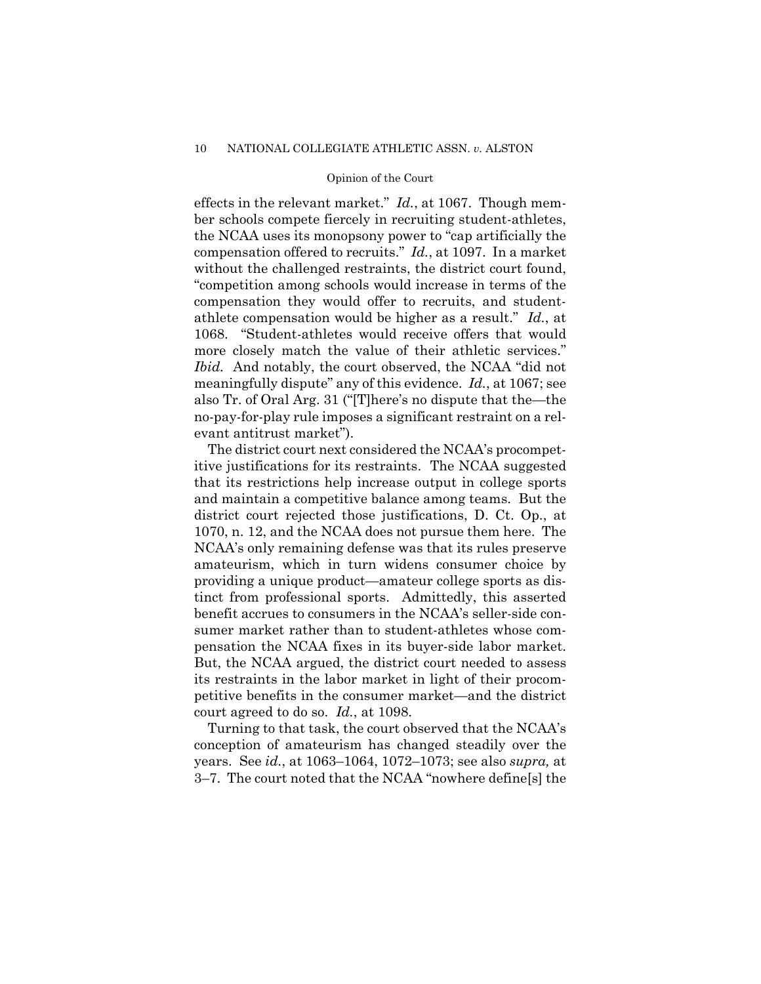effects in the relevant market." *Id.*, at 1067. Though member schools compete fiercely in recruiting student-athletes, the NCAA uses its monopsony power to "cap artificially the compensation offered to recruits." *Id.*, at 1097. In a market without the challenged restraints, the district court found, "competition among schools would increase in terms of the compensation they would offer to recruits, and studentathlete compensation would be higher as a result." *Id.*, at 1068. "Student-athletes would receive offers that would more closely match the value of their athletic services." *Ibid.* And notably, the court observed, the NCAA "did not meaningfully dispute" any of this evidence. *Id.*, at 1067; see also Tr. of Oral Arg. 31 ("[T]here's no dispute that the—the no-pay-for-play rule imposes a significant restraint on a relevant antitrust market").

The district court next considered the NCAA's procompetitive justifications for its restraints. The NCAA suggested that its restrictions help increase output in college sports and maintain a competitive balance among teams. But the district court rejected those justifications, D. Ct. Op., at 1070, n. 12, and the NCAA does not pursue them here. The NCAA's only remaining defense was that its rules preserve amateurism, which in turn widens consumer choice by providing a unique product—amateur college sports as distinct from professional sports. Admittedly, this asserted benefit accrues to consumers in the NCAA's seller-side consumer market rather than to student-athletes whose compensation the NCAA fixes in its buyer-side labor market. But, the NCAA argued, the district court needed to assess its restraints in the labor market in light of their procompetitive benefits in the consumer market—and the district court agreed to do so. *Id.*, at 1098.

Turning to that task, the court observed that the NCAA's conception of amateurism has changed steadily over the years. See *id.*, at 1063–1064, 1072–1073; see also *supra,* at 3–7. The court noted that the NCAA "nowhere define[s] the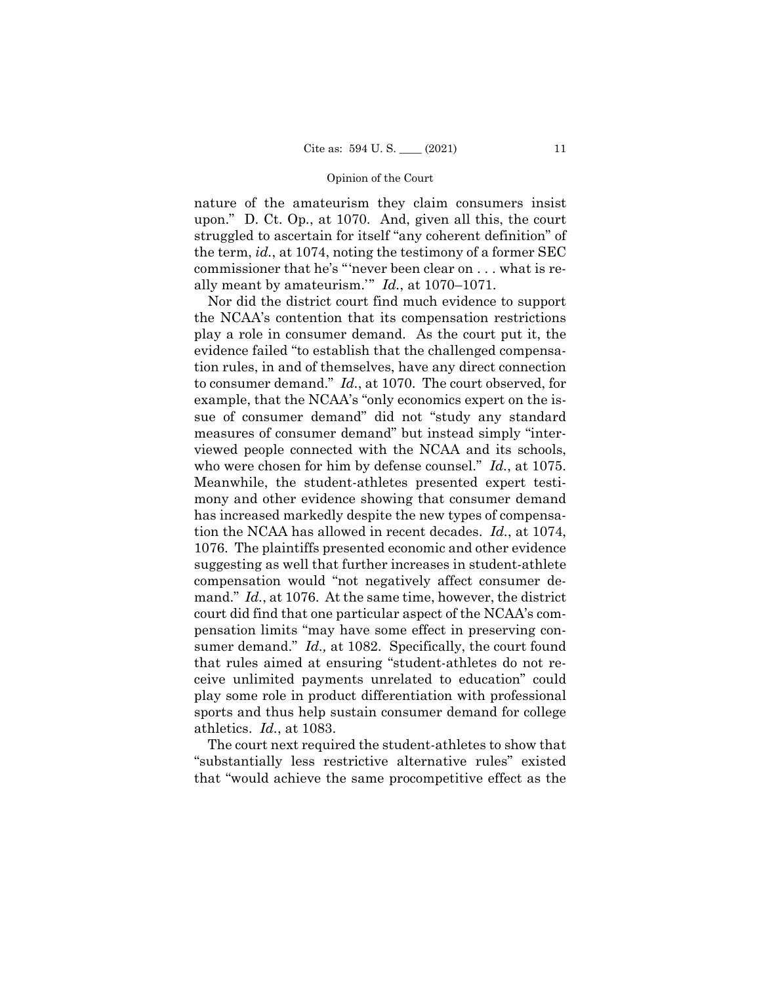nature of the amateurism they claim consumers insist upon." D. Ct. Op*.*, at 1070. And, given all this, the court struggled to ascertain for itself "any coherent definition" of the term, *id.*, at 1074, noting the testimony of a former SEC commissioner that he's "'never been clear on . . . what is really meant by amateurism.'" *Id.*, at 1070–1071.

Nor did the district court find much evidence to support the NCAA's contention that its compensation restrictions play a role in consumer demand. As the court put it, the evidence failed "to establish that the challenged compensation rules, in and of themselves, have any direct connection to consumer demand." *Id.*, at 1070. The court observed, for example, that the NCAA's "only economics expert on the issue of consumer demand" did not "study any standard measures of consumer demand" but instead simply "interviewed people connected with the NCAA and its schools, who were chosen for him by defense counsel." *Id.*, at 1075. Meanwhile, the student-athletes presented expert testimony and other evidence showing that consumer demand has increased markedly despite the new types of compensation the NCAA has allowed in recent decades. *Id.*, at 1074, 1076. The plaintiffs presented economic and other evidence suggesting as well that further increases in student-athlete compensation would "not negatively affect consumer demand." *Id.*, at 1076. At the same time, however, the district court did find that one particular aspect of the NCAA's compensation limits "may have some effect in preserving consumer demand." *Id.,* at 1082. Specifically, the court found that rules aimed at ensuring "student-athletes do not receive unlimited payments unrelated to education" could play some role in product differentiation with professional sports and thus help sustain consumer demand for college athletics. *Id.*, at 1083.

The court next required the student-athletes to show that "substantially less restrictive alternative rules" existed that "would achieve the same procompetitive effect as the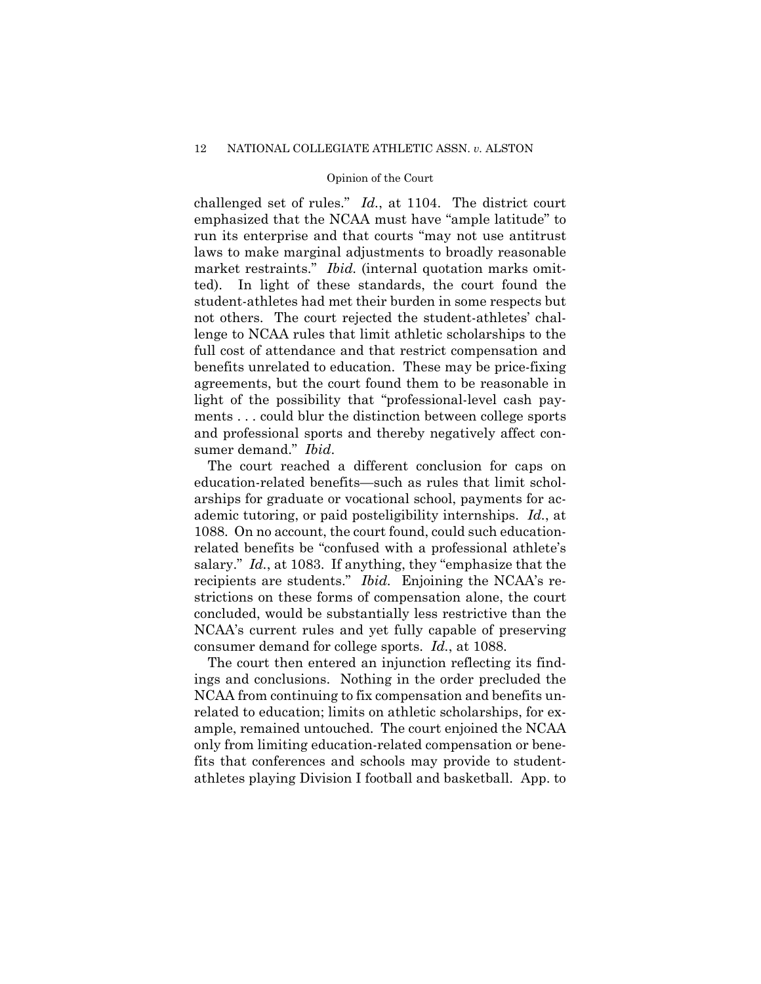ted). In light of these standards, the court found the student-athletes had met their burden in some respects but challenged set of rules." *Id.*, at 1104. The district court emphasized that the NCAA must have "ample latitude" to run its enterprise and that courts "may not use antitrust laws to make marginal adjustments to broadly reasonable market restraints." *Ibid.* (internal quotation marks omitnot others. The court rejected the student-athletes' challenge to NCAA rules that limit athletic scholarships to the full cost of attendance and that restrict compensation and benefits unrelated to education. These may be price-fixing agreements, but the court found them to be reasonable in light of the possibility that "professional-level cash payments . . . could blur the distinction between college sports and professional sports and thereby negatively affect consumer demand." *Ibid*.

The court reached a different conclusion for caps on education-related benefits—such as rules that limit scholarships for graduate or vocational school, payments for academic tutoring, or paid posteligibility internships. *Id.*, at 1088. On no account, the court found, could such educationrelated benefits be "confused with a professional athlete's salary." *Id.*, at 1083. If anything, they "emphasize that the recipients are students." *Ibid.* Enjoining the NCAA's restrictions on these forms of compensation alone, the court concluded, would be substantially less restrictive than the NCAA's current rules and yet fully capable of preserving consumer demand for college sports. *Id.*, at 1088.

The court then entered an injunction reflecting its findings and conclusions. Nothing in the order precluded the NCAA from continuing to fix compensation and benefits unrelated to education; limits on athletic scholarships, for example, remained untouched. The court enjoined the NCAA only from limiting education-related compensation or benefits that conferences and schools may provide to studentathletes playing Division I football and basketball. App. to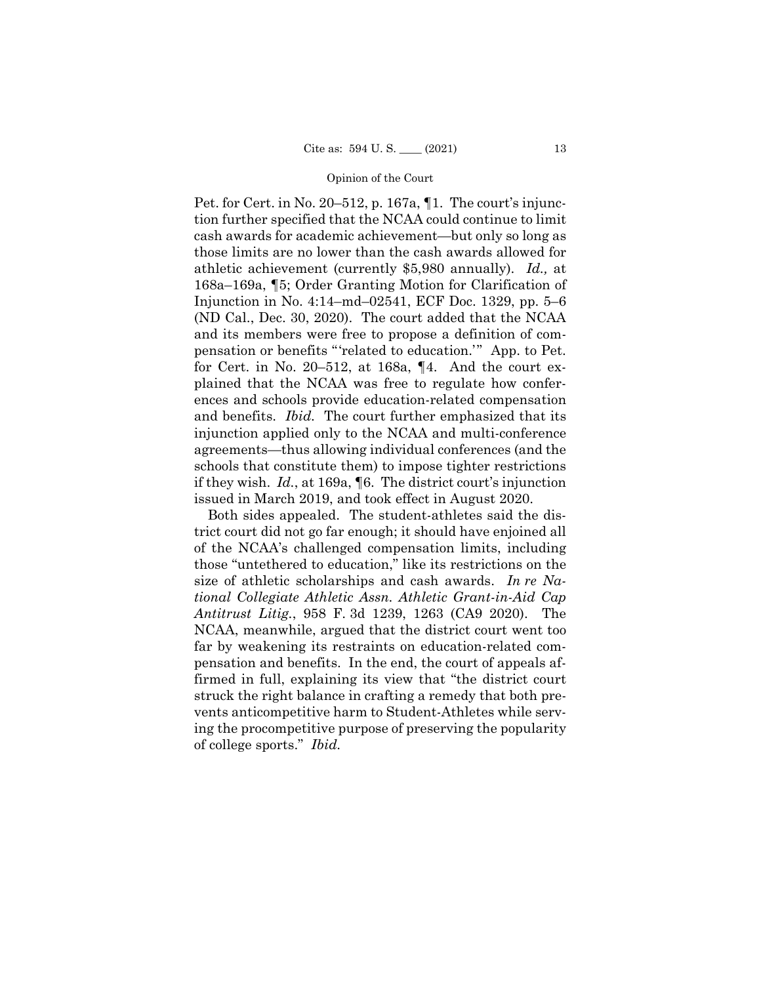Pet. for Cert. in No. 20–512, p. 167a, ¶1. The court's injunction further specified that the NCAA could continue to limit cash awards for academic achievement—but only so long as those limits are no lower than the cash awards allowed for athletic achievement (currently \$5,980 annually). *Id.,* at 168a–169a, ¶5; Order Granting Motion for Clarification of Injunction in No. 4:14–md–02541, ECF Doc. 1329, pp. 5–6 (ND Cal., Dec. 30, 2020). The court added that the NCAA and its members were free to propose a definition of compensation or benefits "'related to education.'" App. to Pet. for Cert. in No. 20–512, at 168a, ¶4. And the court explained that the NCAA was free to regulate how conferences and schools provide education-related compensation and benefits. *Ibid.* The court further emphasized that its injunction applied only to the NCAA and multi-conference agreements—thus allowing individual conferences (and the schools that constitute them) to impose tighter restrictions if they wish. *Id.*, at 169a, ¶6. The district court's injunction issued in March 2019, and took effect in August 2020.

Both sides appealed. The student-athletes said the district court did not go far enough; it should have enjoined all of the NCAA's challenged compensation limits, including those "untethered to education," like its restrictions on the size of athletic scholarships and cash awards. *In re National Collegiate Athletic Assn. Athletic Grant-in-Aid Cap Antitrust Litig.*, 958 F. 3d 1239, 1263 (CA9 2020). The NCAA, meanwhile, argued that the district court went too far by weakening its restraints on education-related compensation and benefits. In the end, the court of appeals affirmed in full, explaining its view that "the district court struck the right balance in crafting a remedy that both prevents anticompetitive harm to Student-Athletes while serving the procompetitive purpose of preserving the popularity of college sports." *Ibid.*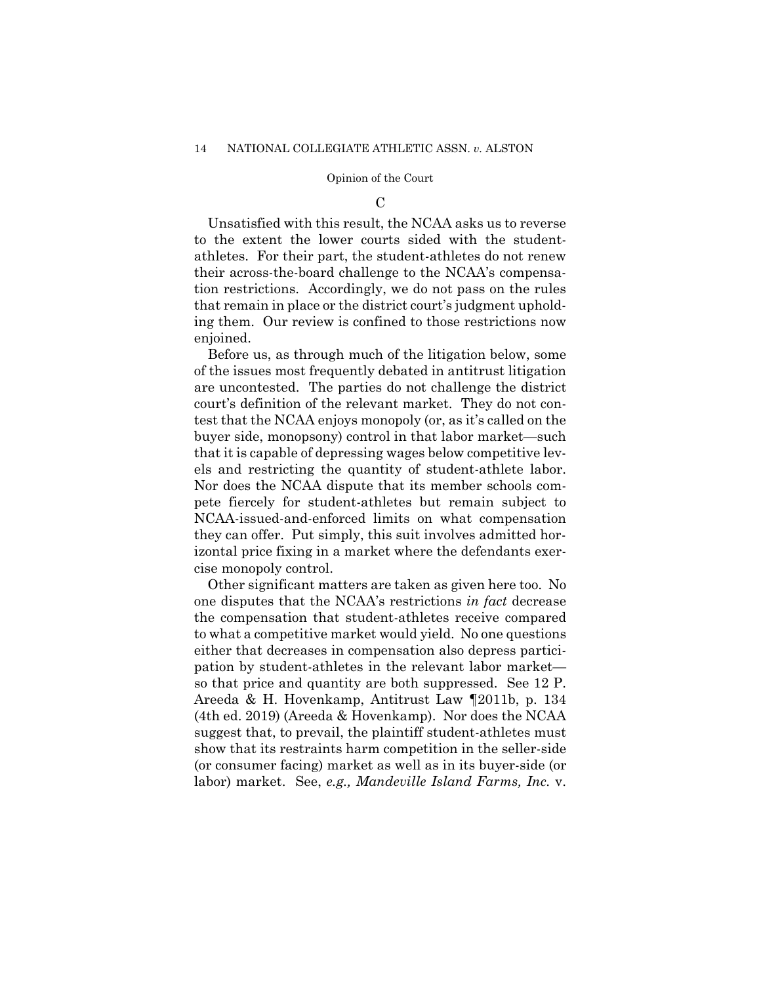### $\mathcal{C}$

Unsatisfied with this result, the NCAA asks us to reverse to the extent the lower courts sided with the studentathletes. For their part, the student-athletes do not renew their across-the-board challenge to the NCAA's compensation restrictions. Accordingly, we do not pass on the rules that remain in place or the district court's judgment upholding them. Our review is confined to those restrictions now enjoined.

 els and restricting the quantity of student-athlete labor. Before us, as through much of the litigation below, some of the issues most frequently debated in antitrust litigation are uncontested. The parties do not challenge the district court's definition of the relevant market. They do not contest that the NCAA enjoys monopoly (or, as it's called on the buyer side, monopsony) control in that labor market—such that it is capable of depressing wages below competitive lev-Nor does the NCAA dispute that its member schools compete fiercely for student-athletes but remain subject to NCAA-issued-and-enforced limits on what compensation they can offer. Put simply, this suit involves admitted horizontal price fixing in a market where the defendants exercise monopoly control.

Other significant matters are taken as given here too. No one disputes that the NCAA's restrictions *in fact* decrease the compensation that student-athletes receive compared to what a competitive market would yield. No one questions either that decreases in compensation also depress participation by student-athletes in the relevant labor market so that price and quantity are both suppressed. See 12 P. Areeda & H. Hovenkamp, Antitrust Law ¶2011b, p. 134 (4th ed. 2019) (Areeda & Hovenkamp). Nor does the NCAA suggest that, to prevail, the plaintiff student-athletes must show that its restraints harm competition in the seller-side (or consumer facing) market as well as in its buyer-side (or labor) market. See, *e.g., Mandeville Island Farms, Inc.* v.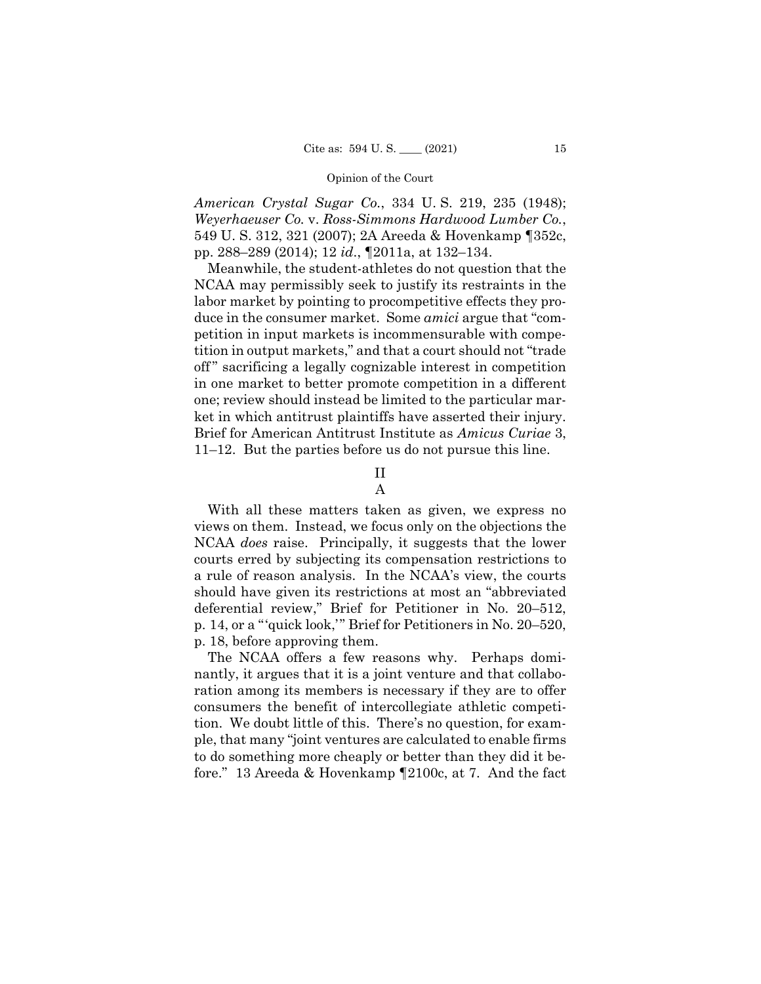*American Crystal Sugar Co.*, 334 U. S. 219, 235 (1948); *Weyerhaeuser Co.* v. *Ross-Simmons Hardwood Lumber Co.*, 549 U. S. 312, 321 (2007); 2A Areeda & Hovenkamp ¶352c, pp. 288–289 (2014); 12 *id*., ¶2011a, at 132–134.

Meanwhile, the student-athletes do not question that the NCAA may permissibly seek to justify its restraints in the labor market by pointing to procompetitive effects they produce in the consumer market. Some *amici* argue that "competition in input markets is incommensurable with competition in output markets," and that a court should not "trade off " sacrificing a legally cognizable interest in competition in one market to better promote competition in a different one; review should instead be limited to the particular market in which antitrust plaintiffs have asserted their injury. Brief for American Antitrust Institute as *Amicus Curiae* 3, 11–12. But the parties before us do not pursue this line.

# II

## A

With all these matters taken as given, we express no views on them. Instead, we focus only on the objections the NCAA *does* raise. Principally, it suggests that the lower courts erred by subjecting its compensation restrictions to a rule of reason analysis. In the NCAA's view, the courts should have given its restrictions at most an "abbreviated deferential review," Brief for Petitioner in No. 20–512, p. 14, or a "'quick look,'" Brief for Petitioners in No. 20–520, p. 18, before approving them.

The NCAA offers a few reasons why. Perhaps dominantly, it argues that it is a joint venture and that collaboration among its members is necessary if they are to offer consumers the benefit of intercollegiate athletic competition. We doubt little of this. There's no question, for example, that many "joint ventures are calculated to enable firms to do something more cheaply or better than they did it before." 13 Areeda & Hovenkamp ¶2100c, at 7. And the fact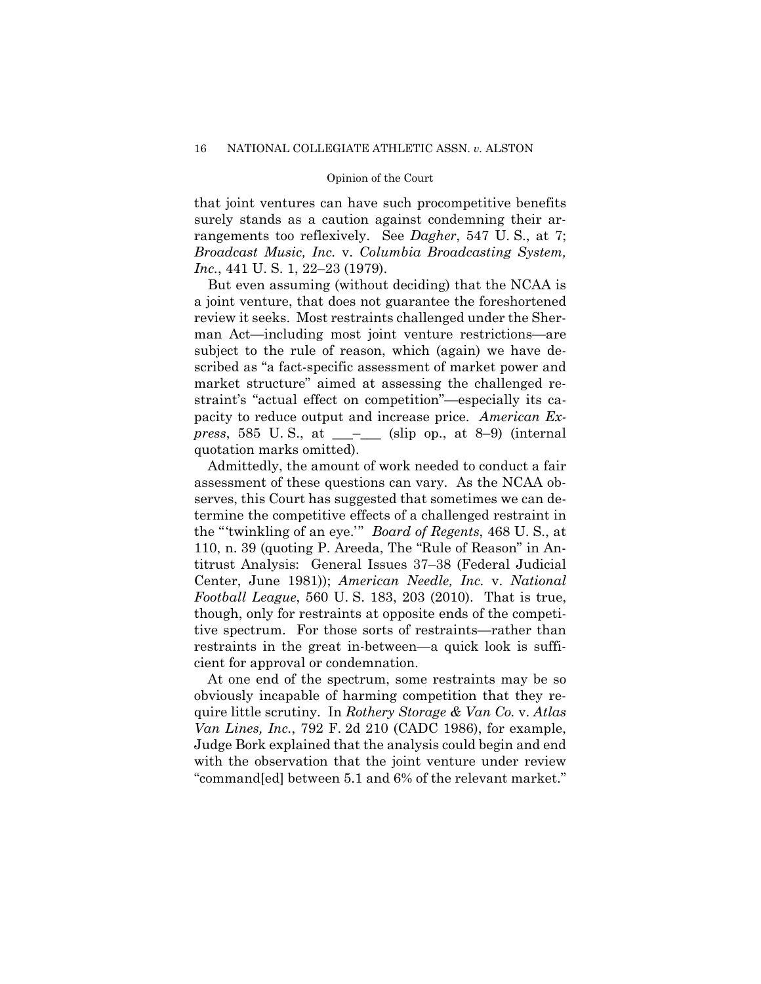that joint ventures can have such procompetitive benefits surely stands as a caution against condemning their arrangements too reflexively. See *Dagher*, 547 U. S., at 7; *Broadcast Music, Inc.* v. *Columbia Broadcasting System, Inc.*, 441 U. S. 1, 22–23 (1979).

But even assuming (without deciding) that the NCAA is a joint venture, that does not guarantee the foreshortened review it seeks. Most restraints challenged under the Sherman Act—including most joint venture restrictions—are subject to the rule of reason, which (again) we have described as "a fact-specific assessment of market power and market structure" aimed at assessing the challenged restraint's "actual effect on competition"—especially its capacity to reduce output and increase price. *American Express*, 585 U. S., at \_\_\_–\_\_\_ (slip op., at 8–9) (internal quotation marks omitted).

Admittedly, the amount of work needed to conduct a fair assessment of these questions can vary. As the NCAA observes, this Court has suggested that sometimes we can determine the competitive effects of a challenged restraint in the "'twinkling of an eye.'" *Board of Regents*, 468 U. S., at 110, n. 39 (quoting P. Areeda, The "Rule of Reason" in Antitrust Analysis: General Issues 37–38 (Federal Judicial Center, June 1981)); *American Needle, Inc.* v. *National Football League*, 560 U. S. 183, 203 (2010). That is true, though, only for restraints at opposite ends of the competitive spectrum. For those sorts of restraints—rather than restraints in the great in-between—a quick look is sufficient for approval or condemnation.

At one end of the spectrum, some restraints may be so obviously incapable of harming competition that they require little scrutiny. In *Rothery Storage & Van Co.* v. *Atlas Van Lines, Inc.*, 792 F. 2d 210 (CADC 1986), for example, Judge Bork explained that the analysis could begin and end with the observation that the joint venture under review "command[ed] between 5.1 and 6% of the relevant market."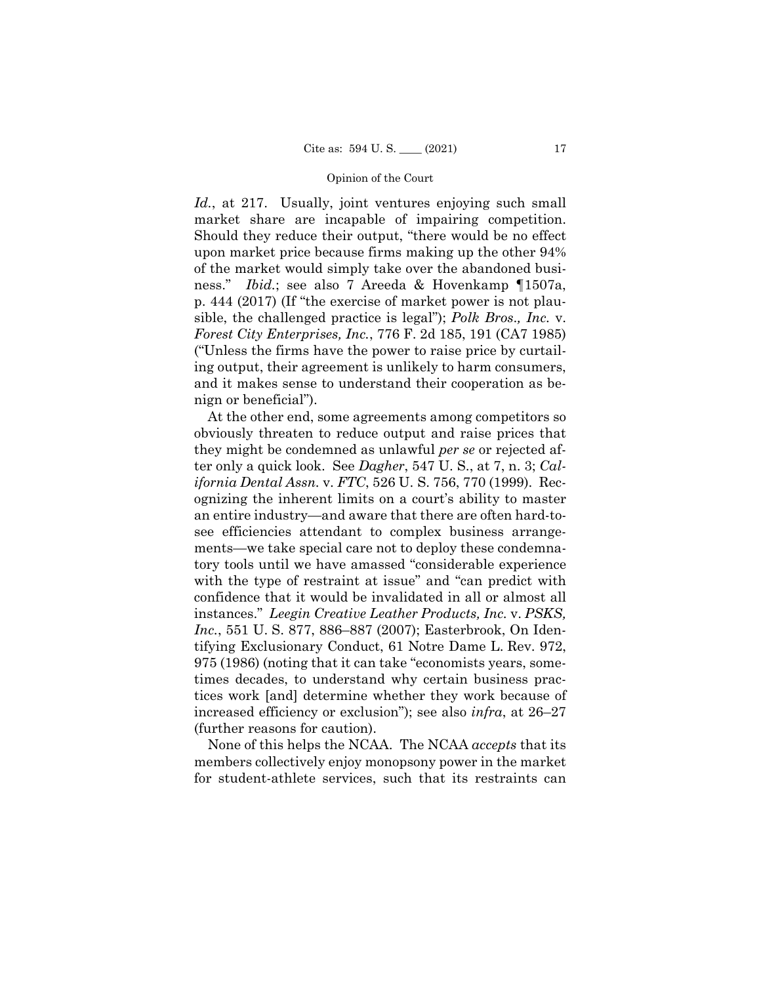*Id.*, at 217. Usually, joint ventures enjoying such small market share are incapable of impairing competition. Should they reduce their output, "there would be no effect upon market price because firms making up the other 94% of the market would simply take over the abandoned business." *Ibid.*; see also 7 Areeda & Hovenkamp ¶1507a, p. 444 (2017) (If "the exercise of market power is not plausible, the challenged practice is legal"); *Polk Bros*.*, Inc.* v. *Forest City Enterprises, Inc.*, 776 F. 2d 185, 191 (CA7 1985) ("Unless the firms have the power to raise price by curtailing output, their agreement is unlikely to harm consumers, and it makes sense to understand their cooperation as benign or beneficial").

At the other end, some agreements among competitors so obviously threaten to reduce output and raise prices that they might be condemned as unlawful *per se* or rejected after only a quick look. See *Dagher*, 547 U. S., at 7, n. 3; *California Dental Assn.* v. *FTC*, 526 U. S. 756, 770 (1999). Recognizing the inherent limits on a court's ability to master an entire industry—and aware that there are often hard-tosee efficiencies attendant to complex business arrangements—we take special care not to deploy these condemnatory tools until we have amassed "considerable experience with the type of restraint at issue" and "can predict with confidence that it would be invalidated in all or almost all instances." *Leegin Creative Leather Products, Inc.* v. *PSKS, Inc.*, 551 U. S. 877, 886–887 (2007); Easterbrook, On Identifying Exclusionary Conduct, 61 Notre Dame L. Rev. 972, 975 (1986) (noting that it can take "economists years, sometimes decades, to understand why certain business practices work [and] determine whether they work because of increased efficiency or exclusion"); see also *infra*, at 26–27 (further reasons for caution).

None of this helps the NCAA. The NCAA *accepts* that its members collectively enjoy monopsony power in the market for student-athlete services, such that its restraints can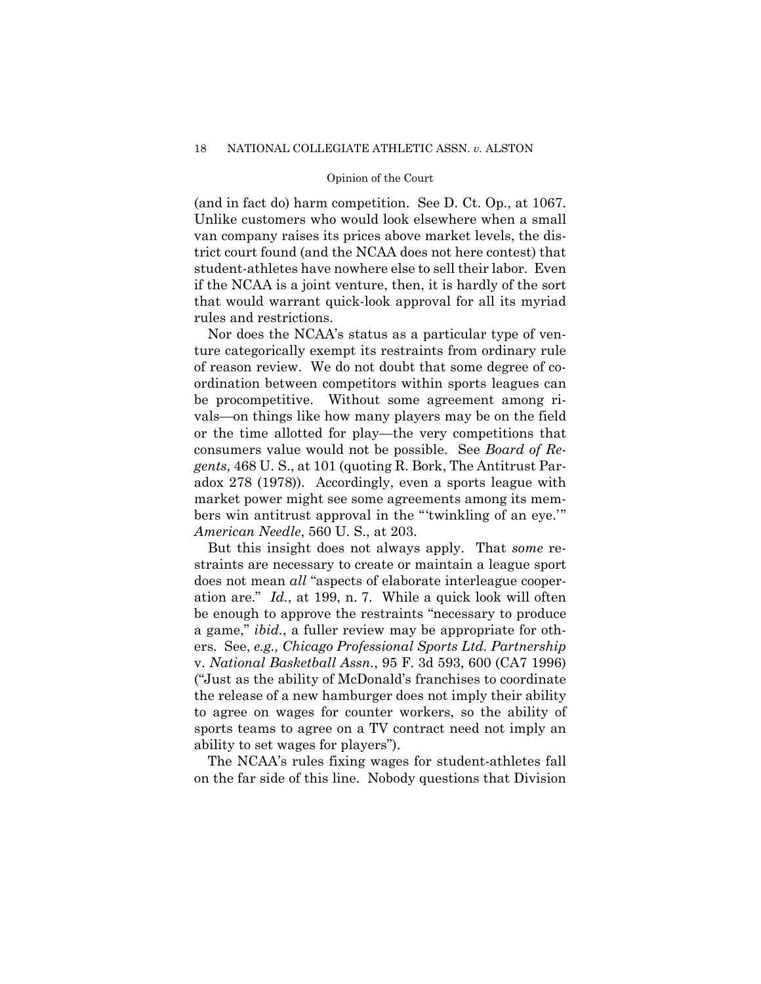(and in fact do) harm competition. See D. Ct. Op., at 1067. Unlike customers who would look elsewhere when a small van company raises its prices above market levels, the district court found (and the NCAA does not here contest) that student-athletes have nowhere else to sell their labor. Even if the NCAA is a joint venture, then, it is hardly of the sort that would warrant quick-look approval for all its myriad rules and restrictions.

Nor does the NCAA's status as a particular type of venture categorically exempt its restraints from ordinary rule of reason review. We do not doubt that some degree of coordination between competitors within sports leagues can be procompetitive. Without some agreement among rivals—on things like how many players may be on the field or the time allotted for play—the very competitions that consumers value would not be possible. See *Board of Regents*, 468 U. S., at 101 (quoting R. Bork, The Antitrust Paradox 278 (1978)). Accordingly, even a sports league with market power might see some agreements among its members win antitrust approval in the "'twinkling of an eye.'" *American Needle*, 560 U. S., at 203.

But this insight does not always apply. That *some* restraints are necessary to create or maintain a league sport does not mean *all* "aspects of elaborate interleague cooperation are." *Id.*, at 199, n. 7. While a quick look will often be enough to approve the restraints "necessary to produce a game," *ibid.*, a fuller review may be appropriate for others. See, *e.g., Chicago Professional Sports Ltd. Partnership*  v. *National Basketball Assn.*, 95 F. 3d 593, 600 (CA7 1996) ("Just as the ability of McDonald's franchises to coordinate the release of a new hamburger does not imply their ability to agree on wages for counter workers, so the ability of sports teams to agree on a TV contract need not imply an ability to set wages for players").

The NCAA's rules fixing wages for student-athletes fall on the far side of this line. Nobody questions that Division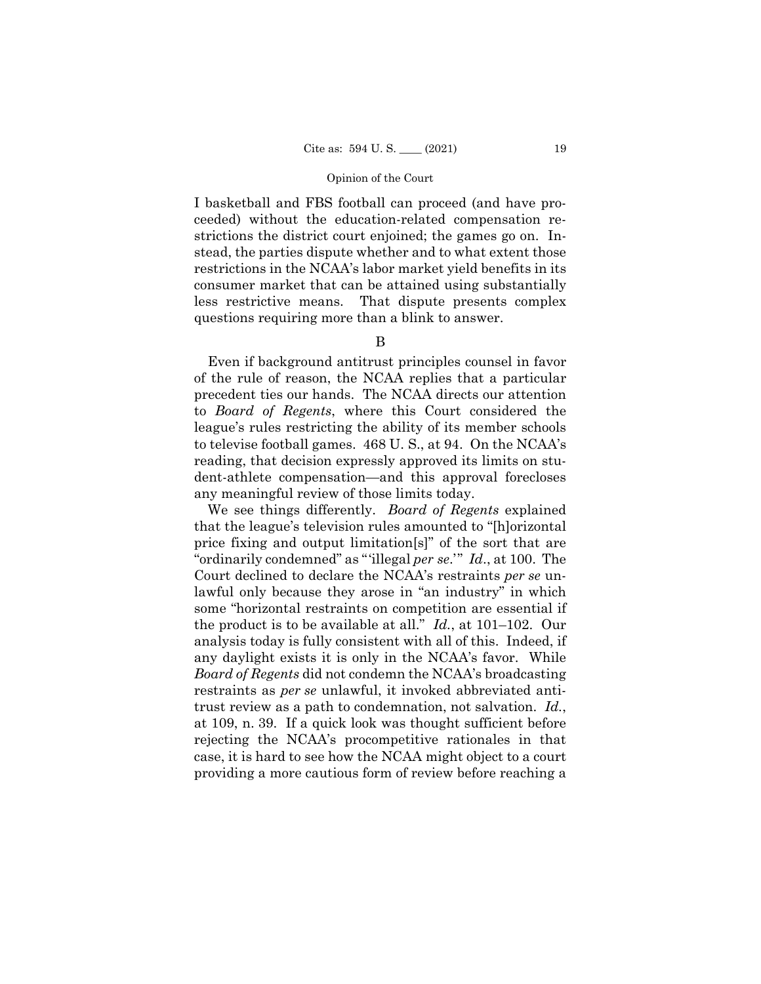I basketball and FBS football can proceed (and have proceeded) without the education-related compensation restrictions the district court enjoined; the games go on. Instead, the parties dispute whether and to what extent those restrictions in the NCAA's labor market yield benefits in its consumer market that can be attained using substantially less restrictive means. That dispute presents complex questions requiring more than a blink to answer.

B

 to televise football games. 468 U. S., at 94. On the NCAA's Even if background antitrust principles counsel in favor of the rule of reason, the NCAA replies that a particular precedent ties our hands. The NCAA directs our attention to *Board of Regents*, where this Court considered the league's rules restricting the ability of its member schools reading, that decision expressly approved its limits on student-athlete compensation—and this approval forecloses any meaningful review of those limits today.

We see things differently. *Board of Regents* explained that the league's television rules amounted to "[h]orizontal price fixing and output limitation[s]" of the sort that are "ordinarily condemned" as "'illegal *per se*.'" *Id*., at 100. The Court declined to declare the NCAA's restraints *per se* unlawful only because they arose in "an industry" in which some "horizontal restraints on competition are essential if the product is to be available at all." *Id.*, at 101–102. Our analysis today is fully consistent with all of this. Indeed, if any daylight exists it is only in the NCAA's favor. While *Board of Regents* did not condemn the NCAA's broadcasting restraints as *per se* unlawful, it invoked abbreviated antitrust review as a path to condemnation, not salvation. *Id.*, at 109, n. 39. If a quick look was thought sufficient before rejecting the NCAA's procompetitive rationales in that case, it is hard to see how the NCAA might object to a court providing a more cautious form of review before reaching a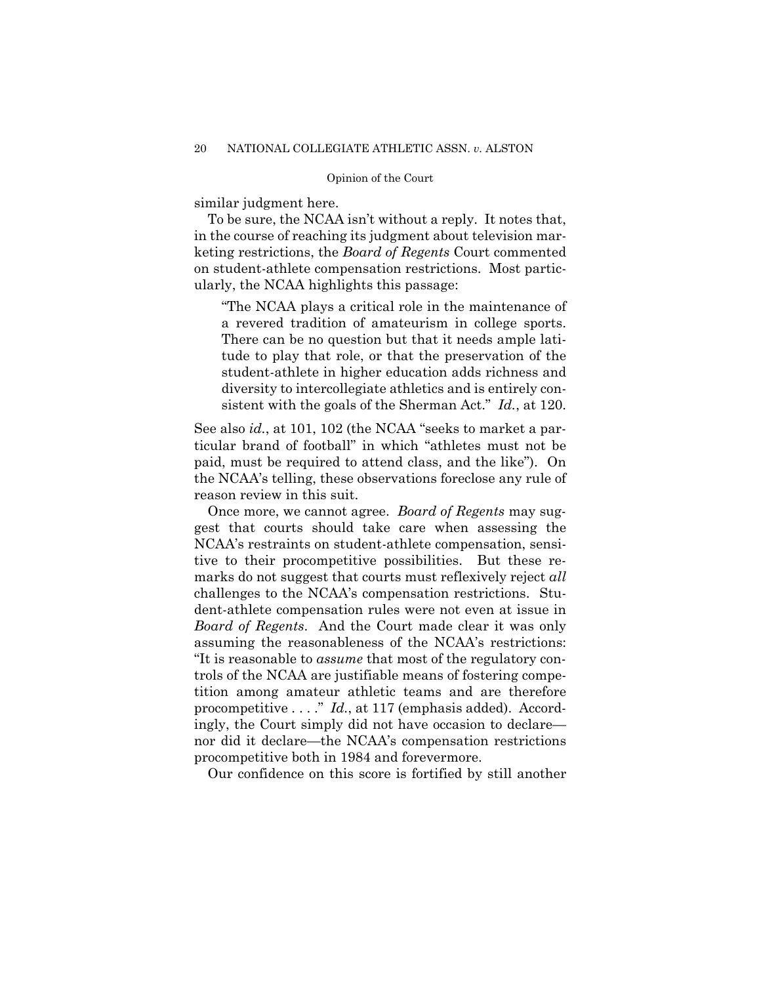similar judgment here.

To be sure, the NCAA isn't without a reply. It notes that, in the course of reaching its judgment about television marketing restrictions, the *Board of Regents* Court commented on student-athlete compensation restrictions. Most particularly, the NCAA highlights this passage:

 a revered tradition of amateurism in college sports. "The NCAA plays a critical role in the maintenance of There can be no question but that it needs ample latitude to play that role, or that the preservation of the student-athlete in higher education adds richness and diversity to intercollegiate athletics and is entirely consistent with the goals of the Sherman Act." *Id.*, at 120.

See also *id.*, at 101, 102 (the NCAA "seeks to market a particular brand of football" in which "athletes must not be paid, must be required to attend class, and the like"). On the NCAA's telling, these observations foreclose any rule of reason review in this suit.

 assuming the reasonableness of the NCAA's restrictions: Once more, we cannot agree. *Board of Regents* may suggest that courts should take care when assessing the NCAA's restraints on student-athlete compensation, sensitive to their procompetitive possibilities. But these remarks do not suggest that courts must reflexively reject *all*  challenges to the NCAA's compensation restrictions. Student-athlete compensation rules were not even at issue in *Board of Regents*. And the Court made clear it was only "It is reasonable to *assume* that most of the regulatory controls of the NCAA are justifiable means of fostering competition among amateur athletic teams and are therefore procompetitive . . . ." *Id.*, at 117 (emphasis added). Accordingly, the Court simply did not have occasion to declare nor did it declare—the NCAA's compensation restrictions procompetitive both in 1984 and forevermore.

Our confidence on this score is fortified by still another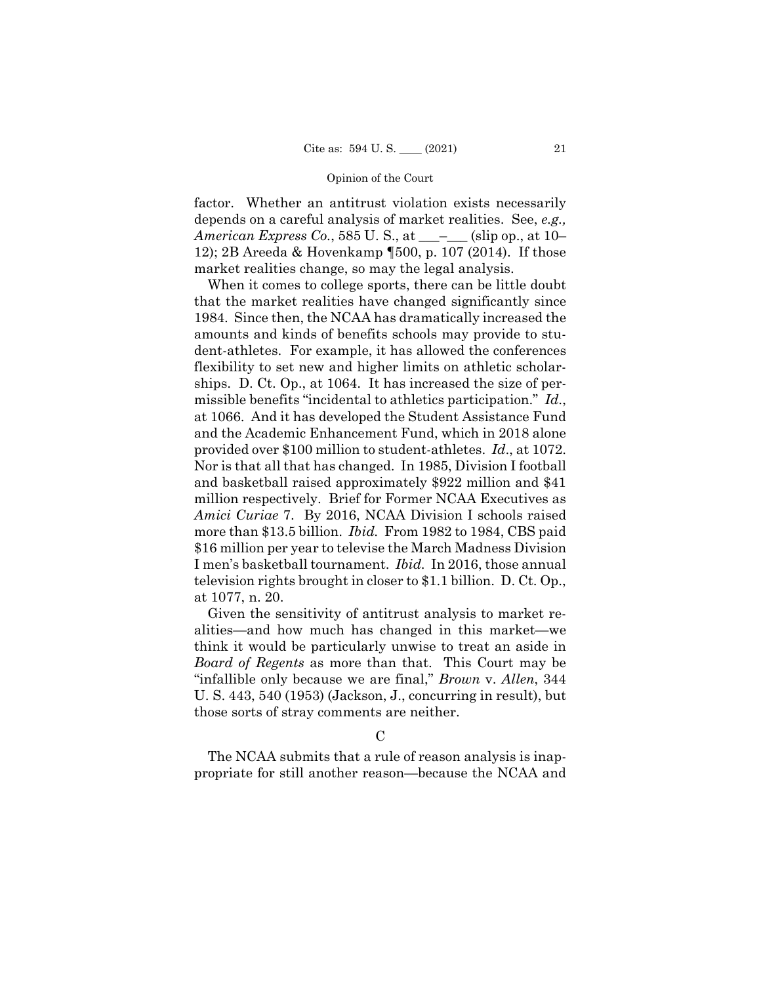factor. Whether an antitrust violation exists necessarily depends on a careful analysis of market realities. See, *e.g., American Express Co.*, 585 U.S., at \_\_\_\_\_\_ (slip op., at 10– 12); 2B Areeda & Hovenkamp ¶500, p. 107 (2014). If those market realities change, so may the legal analysis.

 more than \$13.5 billion. *Ibid.* From 1982 to 1984, CBS paid When it comes to college sports, there can be little doubt that the market realities have changed significantly since 1984. Since then, the NCAA has dramatically increased the amounts and kinds of benefits schools may provide to student-athletes. For example, it has allowed the conferences flexibility to set new and higher limits on athletic scholarships. D. Ct. Op., at 1064. It has increased the size of permissible benefits "incidental to athletics participation." *Id*., at 1066. And it has developed the Student Assistance Fund and the Academic Enhancement Fund, which in 2018 alone provided over \$100 million to student-athletes. *Id*., at 1072. Nor is that all that has changed. In 1985, Division I football and basketball raised approximately \$922 million and \$41 million respectively. Brief for Former NCAA Executives as *Amici Curiae* 7. By 2016, NCAA Division I schools raised \$16 million per year to televise the March Madness Division I men's basketball tournament. *Ibid.* In 2016, those annual television rights brought in closer to \$1.1 billion. D. Ct. Op., at 1077, n. 20.

Given the sensitivity of antitrust analysis to market realities—and how much has changed in this market—we think it would be particularly unwise to treat an aside in *Board of Regents* as more than that. This Court may be "infallible only because we are final," *Brown* v. *Allen*, 344 U. S. 443, 540 (1953) (Jackson, J., concurring in result), but those sorts of stray comments are neither.

 $\mathcal{C}$ 

The NCAA submits that a rule of reason analysis is inappropriate for still another reason—because the NCAA and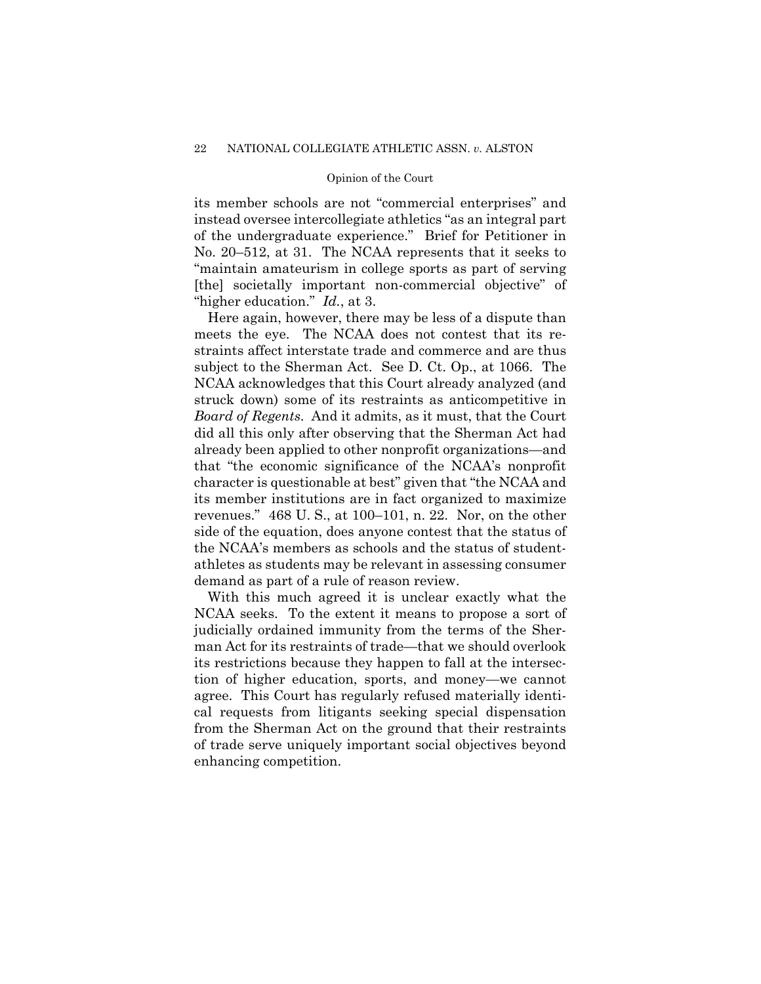its member schools are not "commercial enterprises" and instead oversee intercollegiate athletics "as an integral part of the undergraduate experience." Brief for Petitioner in No. 20–512, at 31. The NCAA represents that it seeks to "maintain amateurism in college sports as part of serving [the] societally important non-commercial objective" of "higher education." *Id.*, at 3.

Here again, however, there may be less of a dispute than meets the eye. The NCAA does not contest that its restraints affect interstate trade and commerce and are thus subject to the Sherman Act. See D. Ct. Op., at 1066. The NCAA acknowledges that this Court already analyzed (and struck down) some of its restraints as anticompetitive in *Board of Regents*. And it admits, as it must, that the Court did all this only after observing that the Sherman Act had already been applied to other nonprofit organizations—and that "the economic significance of the NCAA's nonprofit character is questionable at best" given that "the NCAA and its member institutions are in fact organized to maximize revenues." 468 U. S., at 100–101, n. 22. Nor, on the other side of the equation, does anyone contest that the status of the NCAA's members as schools and the status of studentathletes as students may be relevant in assessing consumer demand as part of a rule of reason review.

With this much agreed it is unclear exactly what the NCAA seeks. To the extent it means to propose a sort of judicially ordained immunity from the terms of the Sherman Act for its restraints of trade—that we should overlook its restrictions because they happen to fall at the intersection of higher education, sports, and money—we cannot agree. This Court has regularly refused materially identical requests from litigants seeking special dispensation from the Sherman Act on the ground that their restraints of trade serve uniquely important social objectives beyond enhancing competition.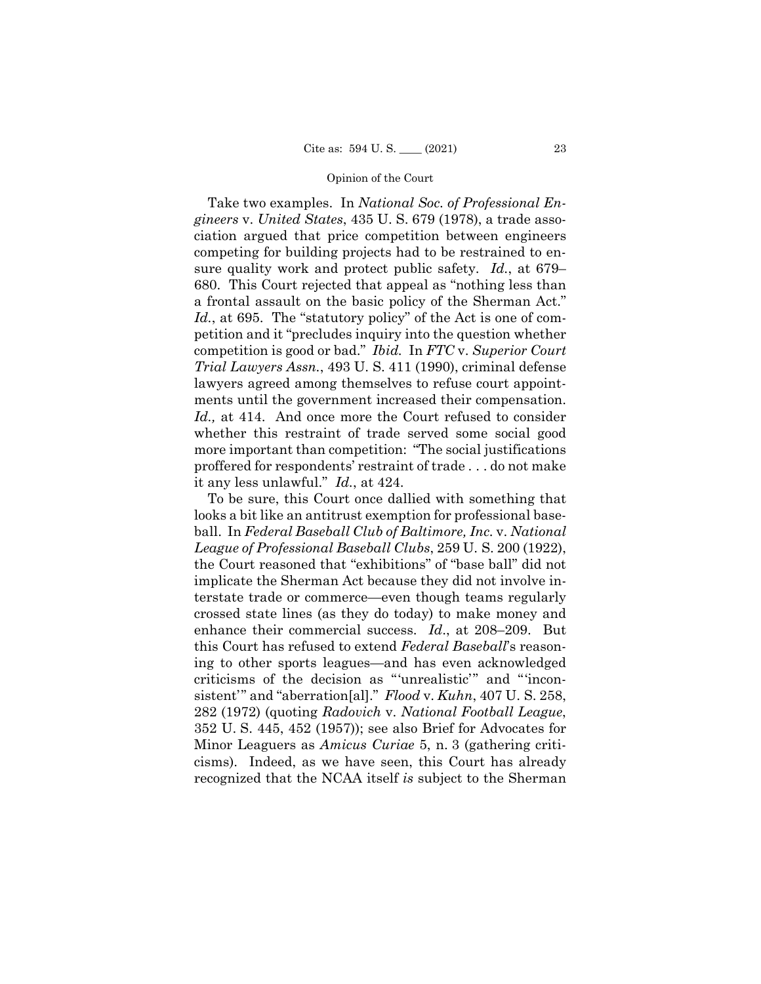Take two examples. In *National Soc. of Professional Engineers* v. *United States*, 435 U. S. 679 (1978), a trade association argued that price competition between engineers competing for building projects had to be restrained to ensure quality work and protect public safety. *Id.*, at 679– 680. This Court rejected that appeal as "nothing less than a frontal assault on the basic policy of the Sherman Act." *Id.*, at 695. The "statutory policy" of the Act is one of competition and it "precludes inquiry into the question whether competition is good or bad." *Ibid.* In *FTC* v. *Superior Court Trial Lawyers Assn.*, 493 U. S. 411 (1990), criminal defense lawyers agreed among themselves to refuse court appointments until the government increased their compensation. *Id.,* at 414. And once more the Court refused to consider whether this restraint of trade served some social good more important than competition: "The social justifications proffered for respondents' restraint of trade . . . do not make it any less unlawful." *Id.*, at 424.

To be sure, this Court once dallied with something that looks a bit like an antitrust exemption for professional baseball. In *Federal Baseball Club of Baltimore, Inc.* v. *National League of Professional Baseball Clubs*, 259 U. S. 200 (1922), the Court reasoned that "exhibitions" of "base ball" did not implicate the Sherman Act because they did not involve interstate trade or commerce—even though teams regularly crossed state lines (as they do today) to make money and enhance their commercial success. *Id*., at 208–209. But this Court has refused to extend *Federal Baseball*'s reasoning to other sports leagues—and has even acknowledged criticisms of the decision as "'unrealistic'" and "'inconsistent'" and "aberration[al]." *Flood* v. *Kuhn*, 407 U. S. 258, 282 (1972) (quoting *Radovich* v. *National Football League*, 352 U. S. 445, 452 (1957)); see also Brief for Advocates for Minor Leaguers as *Amicus Curiae* 5, n. 3 (gathering criticisms). Indeed, as we have seen, this Court has already recognized that the NCAA itself *is* subject to the Sherman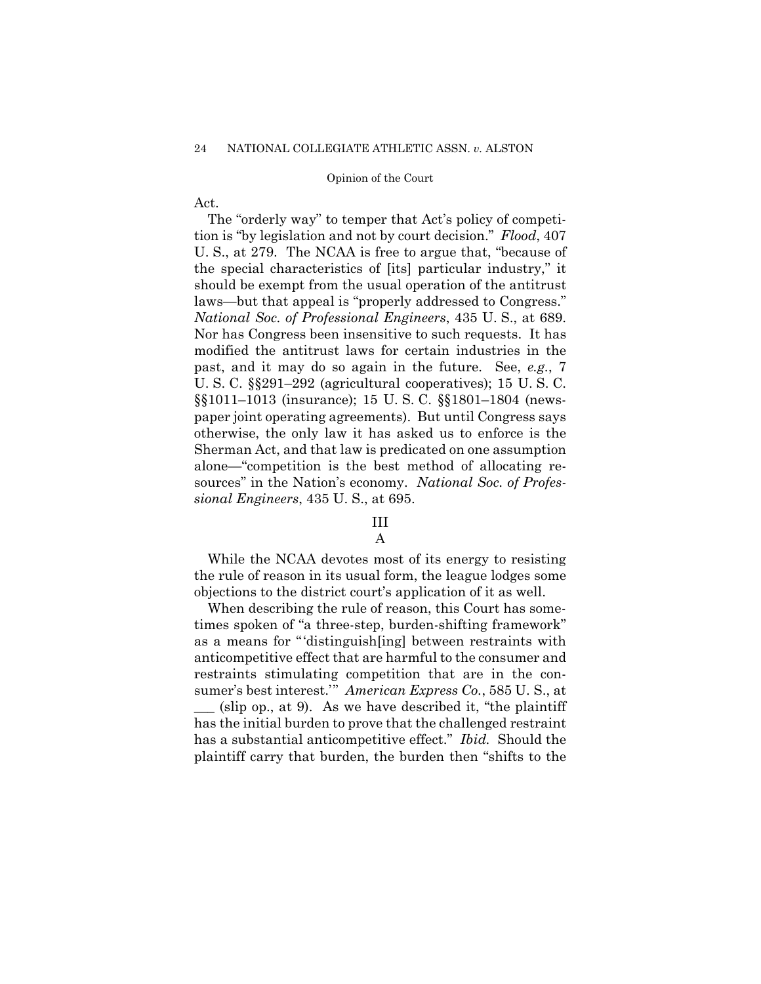Act.

The "orderly way" to temper that Act's policy of competition is "by legislation and not by court decision." *Flood*, 407 U. S., at 279. The NCAA is free to argue that, "because of the special characteristics of [its] particular industry," it should be exempt from the usual operation of the antitrust laws—but that appeal is "properly addressed to Congress." *National Soc. of Professional Engineers*, 435 U. S., at 689. Nor has Congress been insensitive to such requests. It has modified the antitrust laws for certain industries in the past, and it may do so again in the future. See, *e.g.*, 7 U. S. C. §§291–292 (agricultural cooperatives); 15 U. S. C. §§1011–1013 (insurance); 15 U. S. C. §§1801–1804 (newspaper joint operating agreements). But until Congress says otherwise, the only law it has asked us to enforce is the Sherman Act, and that law is predicated on one assumption alone—"competition is the best method of allocating resources" in the Nation's economy. *National Soc. of Professional Engineers*, 435 U. S., at 695.

## III

## A

While the NCAA devotes most of its energy to resisting the rule of reason in its usual form, the league lodges some objections to the district court's application of it as well.

When describing the rule of reason, this Court has sometimes spoken of "a three-step, burden-shifting framework" as a means for "'distinguish[ing] between restraints with anticompetitive effect that are harmful to the consumer and restraints stimulating competition that are in the consumer's best interest.'" *American Express Co.*, 585 U. S., at  $(\text{slip op.}, \text{at 9})$ . As we have described it, "the plaintiff has the initial burden to prove that the challenged restraint has a substantial anticompetitive effect." *Ibid.* Should the plaintiff carry that burden, the burden then "shifts to the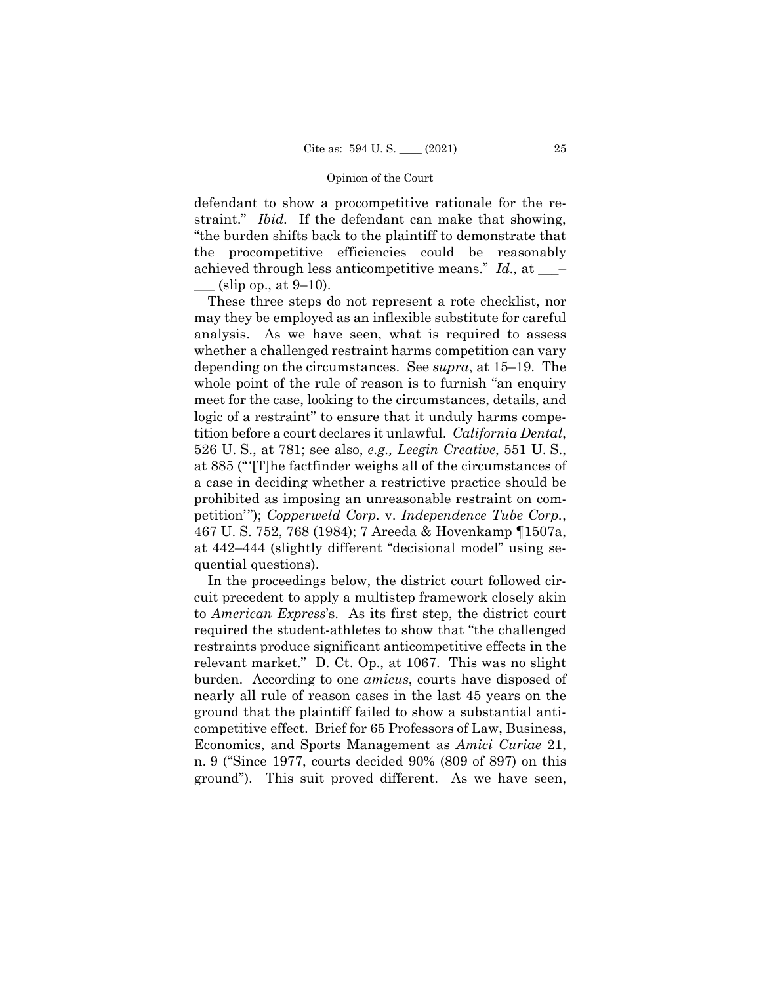achieved through less anticompetitive means." *Id.,* at \_\_\_– defendant to show a procompetitive rationale for the restraint." *Ibid.* If the defendant can make that showing, "the burden shifts back to the plaintiff to demonstrate that the procompetitive efficiencies could be reasonably  $(\text{slip op.}, \text{at } 9-10).$ 

These three steps do not represent a rote checklist, nor may they be employed as an inflexible substitute for careful analysis. As we have seen, what is required to assess whether a challenged restraint harms competition can vary depending on the circumstances. See *supra*, at 15–19. The whole point of the rule of reason is to furnish "an enquiry" meet for the case, looking to the circumstances, details, and logic of a restraint" to ensure that it unduly harms competition before a court declares it unlawful. *California Dental*, 526 U. S., at 781; see also, *e.g., Leegin Creative*, 551 U. S., at 885 ("'[T]he factfinder weighs all of the circumstances of a case in deciding whether a restrictive practice should be prohibited as imposing an unreasonable restraint on competition'"); *Copperweld Corp.* v. *Independence Tube Corp.*, 467 U. S. 752, 768 (1984); 7 Areeda & Hovenkamp ¶1507a, at 442–444 (slightly different "decisional model" using sequential questions).

In the proceedings below, the district court followed circuit precedent to apply a multistep framework closely akin to *American Express*'s. As its first step, the district court required the student-athletes to show that "the challenged restraints produce significant anticompetitive effects in the relevant market." D. Ct. Op., at 1067. This was no slight burden. According to one *amicus*, courts have disposed of nearly all rule of reason cases in the last 45 years on the ground that the plaintiff failed to show a substantial anticompetitive effect. Brief for 65 Professors of Law, Business, Economics, and Sports Management as *Amici Curiae* 21, n. 9 ("Since 1977, courts decided 90% (809 of 897) on this ground"). This suit proved different. As we have seen,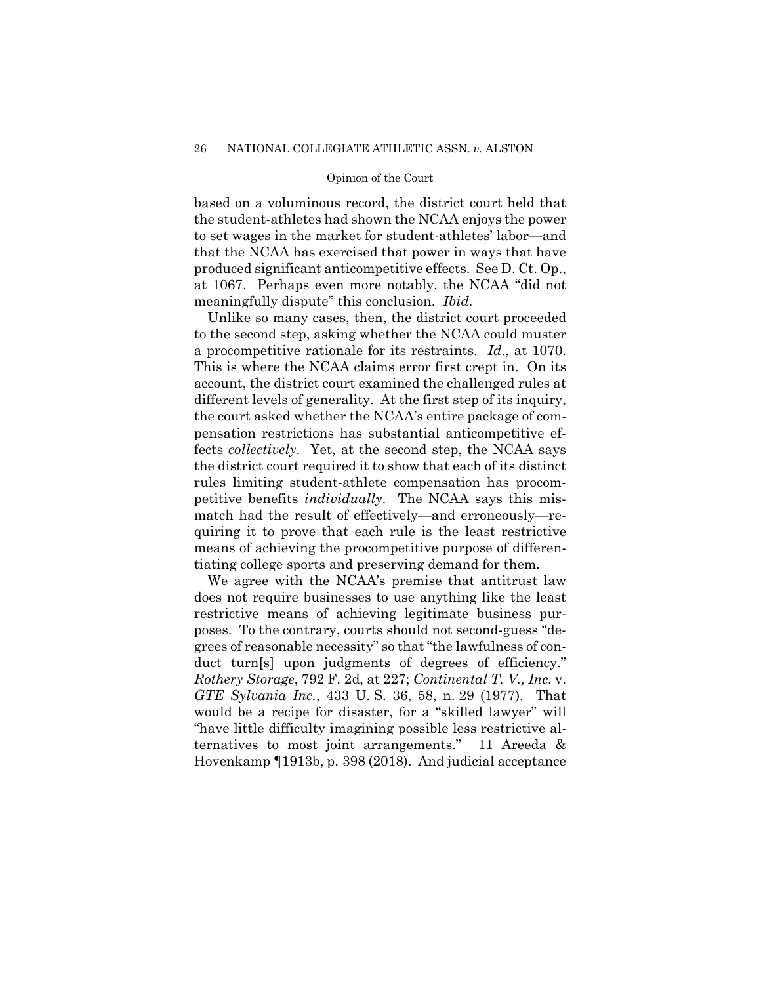based on a voluminous record, the district court held that the student-athletes had shown the NCAA enjoys the power to set wages in the market for student-athletes' labor—and that the NCAA has exercised that power in ways that have produced significant anticompetitive effects. See D. Ct. Op., at 1067. Perhaps even more notably, the NCAA "did not meaningfully dispute" this conclusion. *Ibid.* 

Unlike so many cases, then, the district court proceeded to the second step, asking whether the NCAA could muster a procompetitive rationale for its restraints. *Id.*, at 1070. This is where the NCAA claims error first crept in. On its account, the district court examined the challenged rules at different levels of generality. At the first step of its inquiry, the court asked whether the NCAA's entire package of compensation restrictions has substantial anticompetitive effects *collectively*. Yet, at the second step, the NCAA says the district court required it to show that each of its distinct rules limiting student-athlete compensation has procompetitive benefits *individually*. The NCAA says this mismatch had the result of effectively—and erroneously—requiring it to prove that each rule is the least restrictive means of achieving the procompetitive purpose of differentiating college sports and preserving demand for them.

We agree with the NCAA's premise that antitrust law does not require businesses to use anything like the least restrictive means of achieving legitimate business purposes. To the contrary, courts should not second-guess "degrees of reasonable necessity" so that "the lawfulness of conduct turn[s] upon judgments of degrees of efficiency." *Rothery Storage*, 792 F. 2d, at 227; *Continental T. V., Inc.* v. *GTE Sylvania Inc.*, 433 U. S. 36, 58, n. 29 (1977). That would be a recipe for disaster, for a "skilled lawyer" will "have little difficulty imagining possible less restrictive alternatives to most joint arrangements." 11 Areeda & Hovenkamp ¶1913b, p. 398 (2018). And judicial acceptance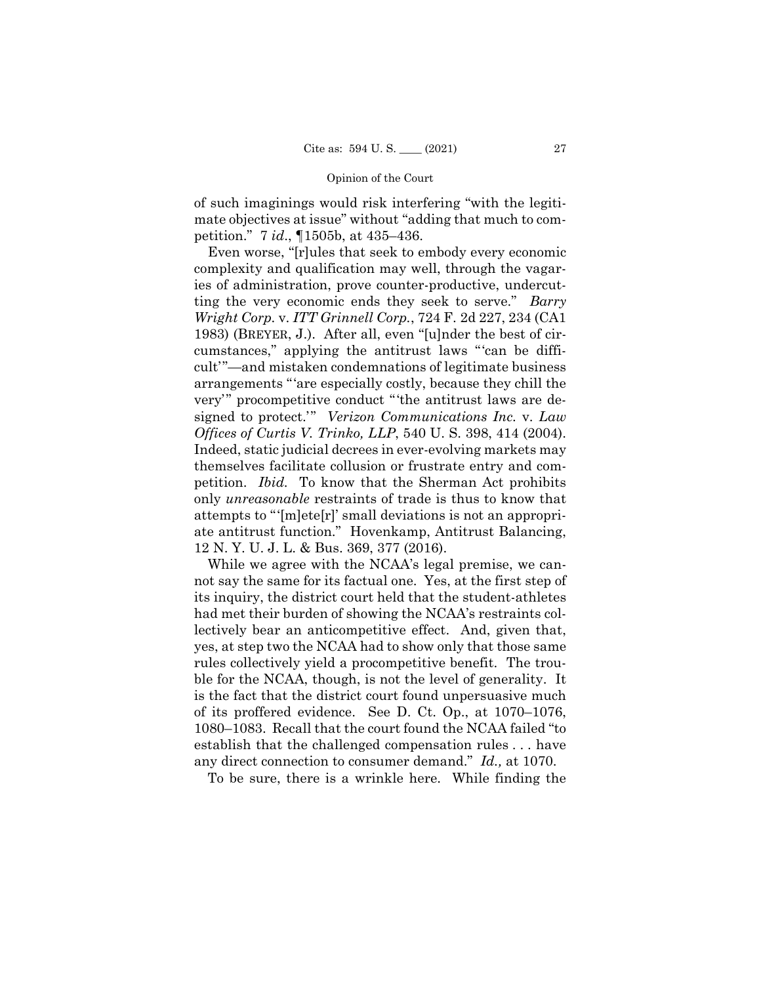of such imaginings would risk interfering "with the legitimate objectives at issue" without "adding that much to competition." 7 *id*., ¶1505b, at 435–436.

Even worse, "[r]ules that seek to embody every economic complexity and qualification may well, through the vagaries of administration, prove counter-productive, undercutting the very economic ends they seek to serve." *Barry Wright Corp.* v. *ITT Grinnell Corp.*, 724 F. 2d 227, 234 (CA1 1983) (BREYER, J.). After all, even "[u]nder the best of circumstances," applying the antitrust laws "'can be difficult'"—and mistaken condemnations of legitimate business arrangements "'are especially costly, because they chill the very'" procompetitive conduct "'the antitrust laws are designed to protect.'" *Verizon Communications Inc.* v. *Law Offices of Curtis V. Trinko, LLP*, 540 U. S. 398, 414 (2004). Indeed, static judicial decrees in ever-evolving markets may themselves facilitate collusion or frustrate entry and competition. *Ibid.* To know that the Sherman Act prohibits only *unreasonable* restraints of trade is thus to know that attempts to "'[m]ete[r]' small deviations is not an appropriate antitrust function." Hovenkamp, Antitrust Balancing, 12 N. Y. U. J. L. & Bus. 369, 377 (2016).

While we agree with the NCAA's legal premise, we cannot say the same for its factual one. Yes, at the first step of its inquiry, the district court held that the student-athletes had met their burden of showing the NCAA's restraints collectively bear an anticompetitive effect. And, given that, yes, at step two the NCAA had to show only that those same rules collectively yield a procompetitive benefit. The trouble for the NCAA, though, is not the level of generality. It is the fact that the district court found unpersuasive much of its proffered evidence. See D. Ct. Op., at 1070–1076, 1080–1083. Recall that the court found the NCAA failed "to establish that the challenged compensation rules . . . have any direct connection to consumer demand." *Id.,* at 1070.

To be sure, there is a wrinkle here. While finding the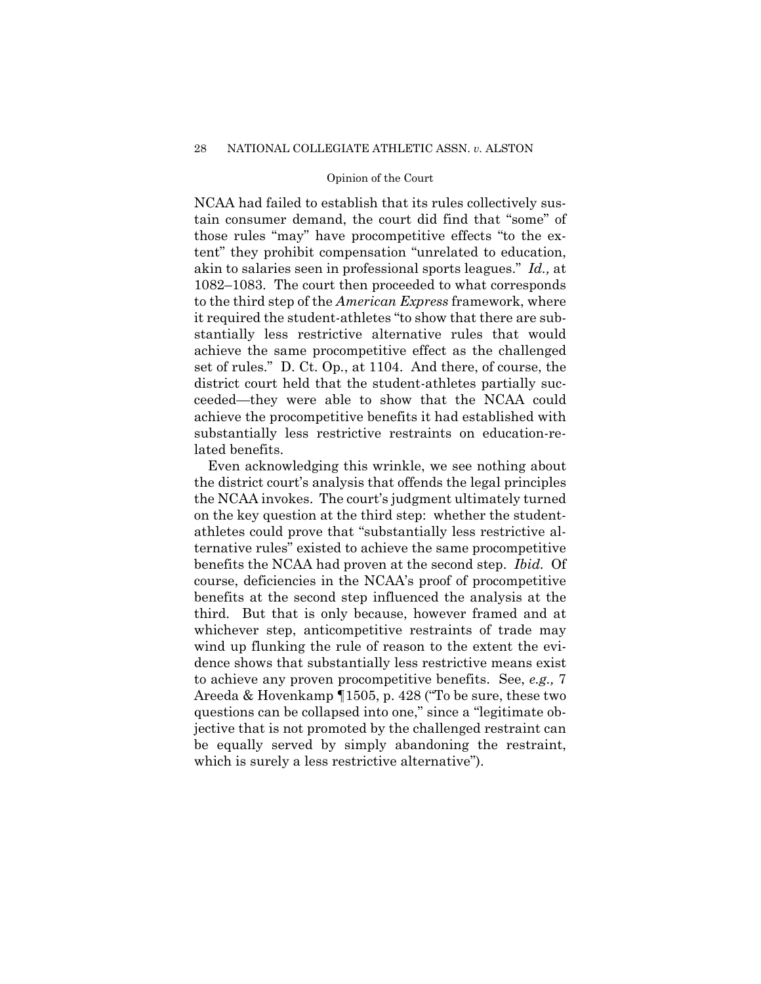NCAA had failed to establish that its rules collectively sustain consumer demand, the court did find that "some" of those rules "may" have procompetitive effects "to the extent" they prohibit compensation "unrelated to education, akin to salaries seen in professional sports leagues." *Id.,* at 1082–1083. The court then proceeded to what corresponds to the third step of the *American Express* framework, where it required the student-athletes "to show that there are substantially less restrictive alternative rules that would achieve the same procompetitive effect as the challenged set of rules." D. Ct. Op*.*, at 1104. And there, of course, the district court held that the student-athletes partially succeeded—they were able to show that the NCAA could achieve the procompetitive benefits it had established with substantially less restrictive restraints on education-related benefits.

Even acknowledging this wrinkle, we see nothing about the district court's analysis that offends the legal principles the NCAA invokes. The court's judgment ultimately turned on the key question at the third step: whether the studentathletes could prove that "substantially less restrictive alternative rules" existed to achieve the same procompetitive benefits the NCAA had proven at the second step. *Ibid.* Of course, deficiencies in the NCAA's proof of procompetitive benefits at the second step influenced the analysis at the third. But that is only because, however framed and at whichever step, anticompetitive restraints of trade may wind up flunking the rule of reason to the extent the evidence shows that substantially less restrictive means exist to achieve any proven procompetitive benefits. See, *e.g.,* 7 Areeda & Hovenkamp ¶1505, p. 428 ("To be sure, these two questions can be collapsed into one," since a "legitimate objective that is not promoted by the challenged restraint can be equally served by simply abandoning the restraint, which is surely a less restrictive alternative").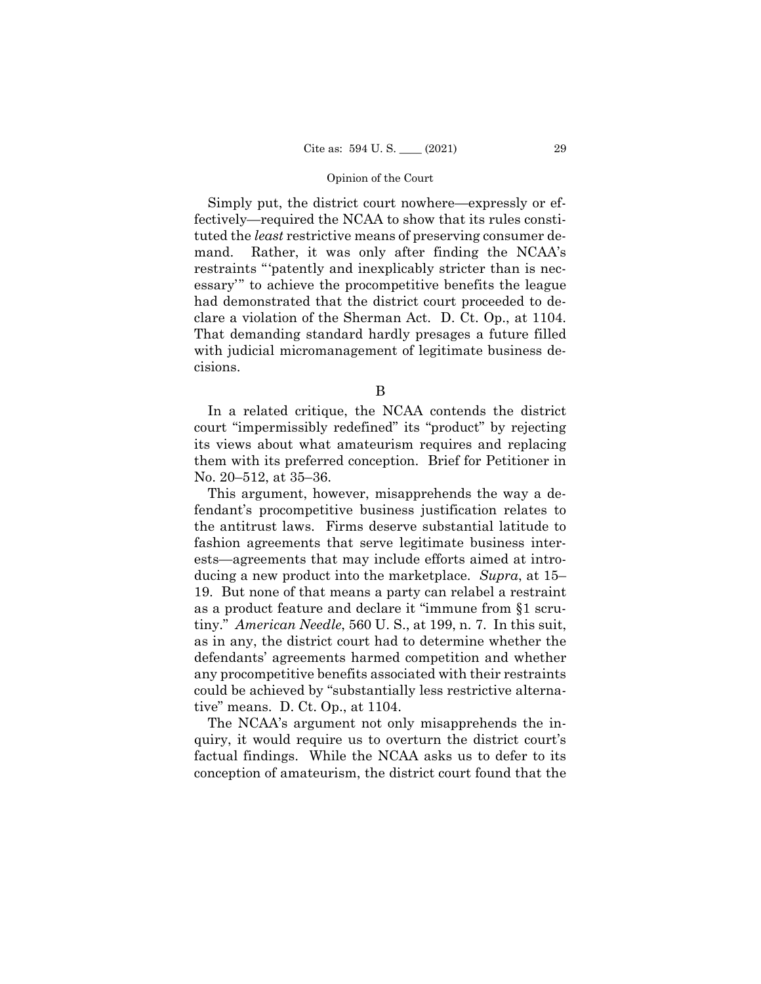Simply put, the district court nowhere—expressly or effectively—required the NCAA to show that its rules constituted the *least* restrictive means of preserving consumer demand. Rather, it was only after finding the NCAA's restraints "'patently and inexplicably stricter than is necessary'" to achieve the procompetitive benefits the league had demonstrated that the district court proceeded to declare a violation of the Sherman Act. D. Ct. Op., at 1104. That demanding standard hardly presages a future filled with judicial micromanagement of legitimate business decisions.

B

In a related critique, the NCAA contends the district court "impermissibly redefined" its "product" by rejecting its views about what amateurism requires and replacing them with its preferred conception. Brief for Petitioner in No. 20–512, at 35–36.

This argument, however, misapprehends the way a defendant's procompetitive business justification relates to the antitrust laws. Firms deserve substantial latitude to fashion agreements that serve legitimate business interests—agreements that may include efforts aimed at introducing a new product into the marketplace. *Supra*, at 15– 19. But none of that means a party can relabel a restraint as a product feature and declare it "immune from §1 scrutiny." *American Needle*, 560 U. S., at 199, n. 7. In this suit, as in any, the district court had to determine whether the defendants' agreements harmed competition and whether any procompetitive benefits associated with their restraints could be achieved by "substantially less restrictive alternative" means. D. Ct. Op., at 1104.

The NCAA's argument not only misapprehends the inquiry, it would require us to overturn the district court's factual findings. While the NCAA asks us to defer to its conception of amateurism, the district court found that the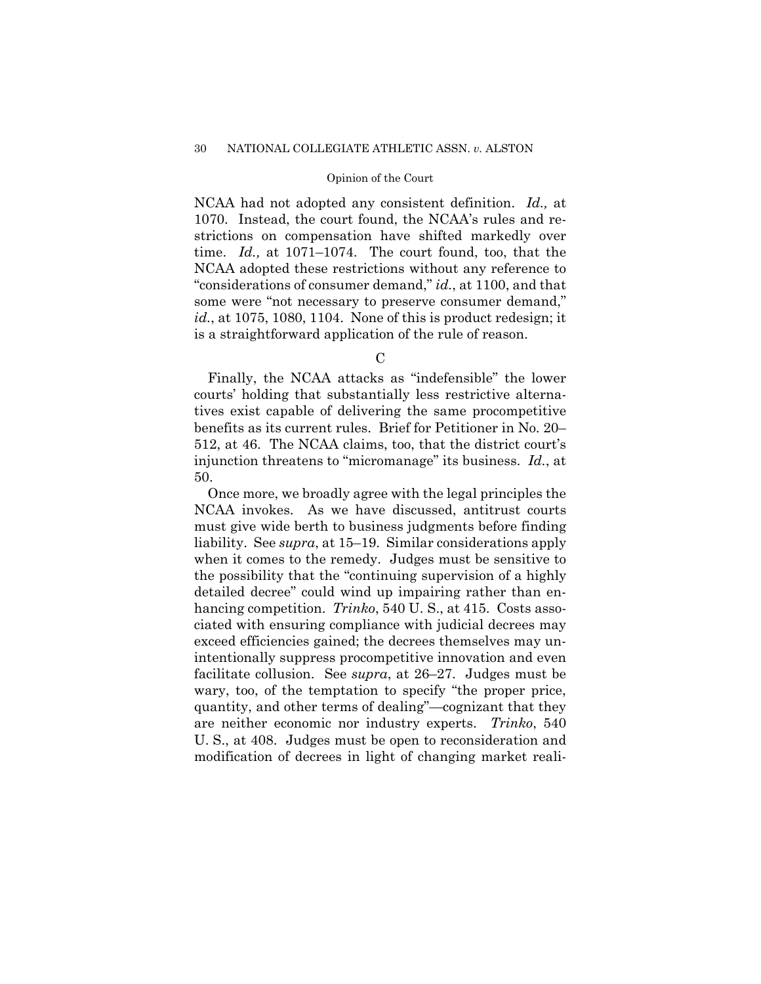NCAA had not adopted any consistent definition. *Id.,* at 1070. Instead, the court found, the NCAA's rules and restrictions on compensation have shifted markedly over time. *Id.,* at 1071–1074. The court found, too, that the NCAA adopted these restrictions without any reference to "considerations of consumer demand," *id.*, at 1100, and that some were "not necessary to preserve consumer demand," *id.*, at 1075, 1080, 1104. None of this is product redesign; it is a straightforward application of the rule of reason.

 $\mathcal{C}$ 

Finally, the NCAA attacks as "indefensible" the lower courts' holding that substantially less restrictive alternatives exist capable of delivering the same procompetitive benefits as its current rules. Brief for Petitioner in No. 20– 512, at 46. The NCAA claims, too, that the district court's injunction threatens to "micromanage" its business. *Id.*, at 50.

Once more, we broadly agree with the legal principles the NCAA invokes. As we have discussed, antitrust courts must give wide berth to business judgments before finding liability. See *supra*, at 15–19. Similar considerations apply when it comes to the remedy. Judges must be sensitive to the possibility that the "continuing supervision of a highly detailed decree" could wind up impairing rather than enhancing competition. *Trinko*, 540 U.S., at 415. Costs associated with ensuring compliance with judicial decrees may exceed efficiencies gained; the decrees themselves may unintentionally suppress procompetitive innovation and even facilitate collusion. See *supra*, at 26–27. Judges must be wary, too, of the temptation to specify "the proper price, quantity, and other terms of dealing"—cognizant that they are neither economic nor industry experts. *Trinko*, 540 U. S., at 408. Judges must be open to reconsideration and modification of decrees in light of changing market reali-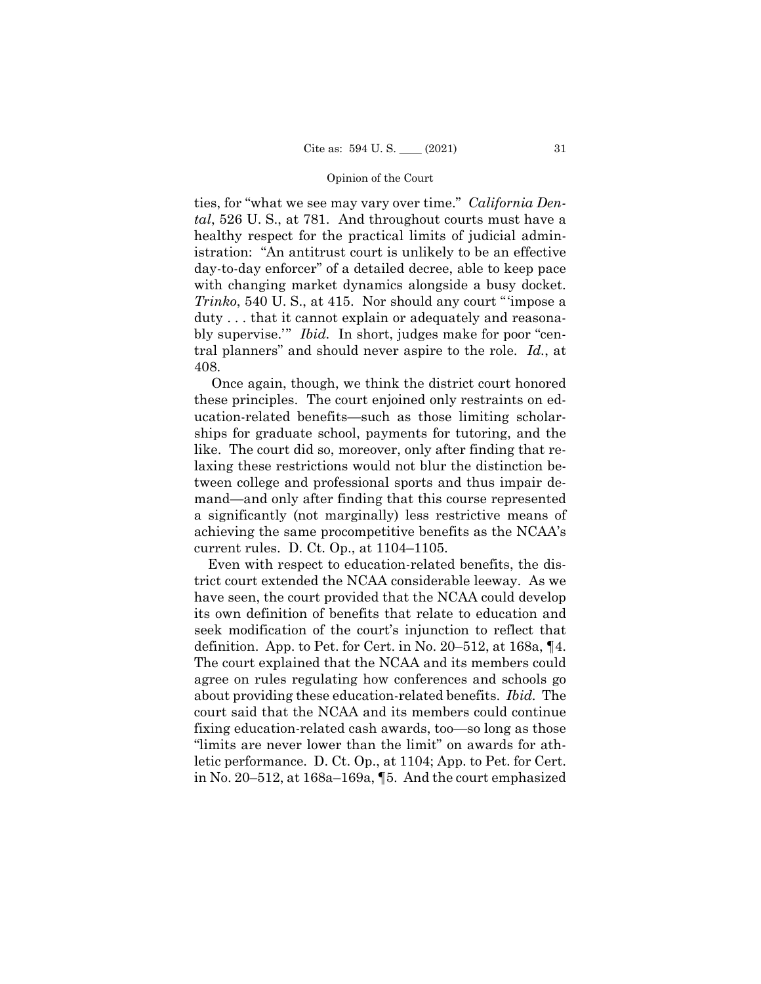*tal*, 526 U. S., at 781. And throughout courts must have a bly supervise.'" *Ibid.* In short, judges make for poor "centies, for "what we see may vary over time." *California Den*healthy respect for the practical limits of judicial administration: "An antitrust court is unlikely to be an effective day-to-day enforcer" of a detailed decree, able to keep pace with changing market dynamics alongside a busy docket. *Trinko*, 540 U. S., at 415. Nor should any court "'impose a duty . . . that it cannot explain or adequately and reasonatral planners" and should never aspire to the role. *Id.*, at 408.

Once again, though, we think the district court honored these principles. The court enjoined only restraints on education-related benefits—such as those limiting scholarships for graduate school, payments for tutoring, and the like. The court did so, moreover, only after finding that relaxing these restrictions would not blur the distinction between college and professional sports and thus impair demand—and only after finding that this course represented a significantly (not marginally) less restrictive means of achieving the same procompetitive benefits as the NCAA's current rules. D. Ct. Op., at 1104–1105.

 about providing these education-related benefits. *Ibid.* The Even with respect to education-related benefits, the district court extended the NCAA considerable leeway. As we have seen, the court provided that the NCAA could develop its own definition of benefits that relate to education and seek modification of the court's injunction to reflect that definition. App. to Pet. for Cert. in No. 20–512, at 168a, ¶4. The court explained that the NCAA and its members could agree on rules regulating how conferences and schools go court said that the NCAA and its members could continue fixing education-related cash awards, too—so long as those "limits are never lower than the limit" on awards for athletic performance. D. Ct. Op., at 1104; App. to Pet. for Cert. in No. 20–512, at 168a–169a, ¶5. And the court emphasized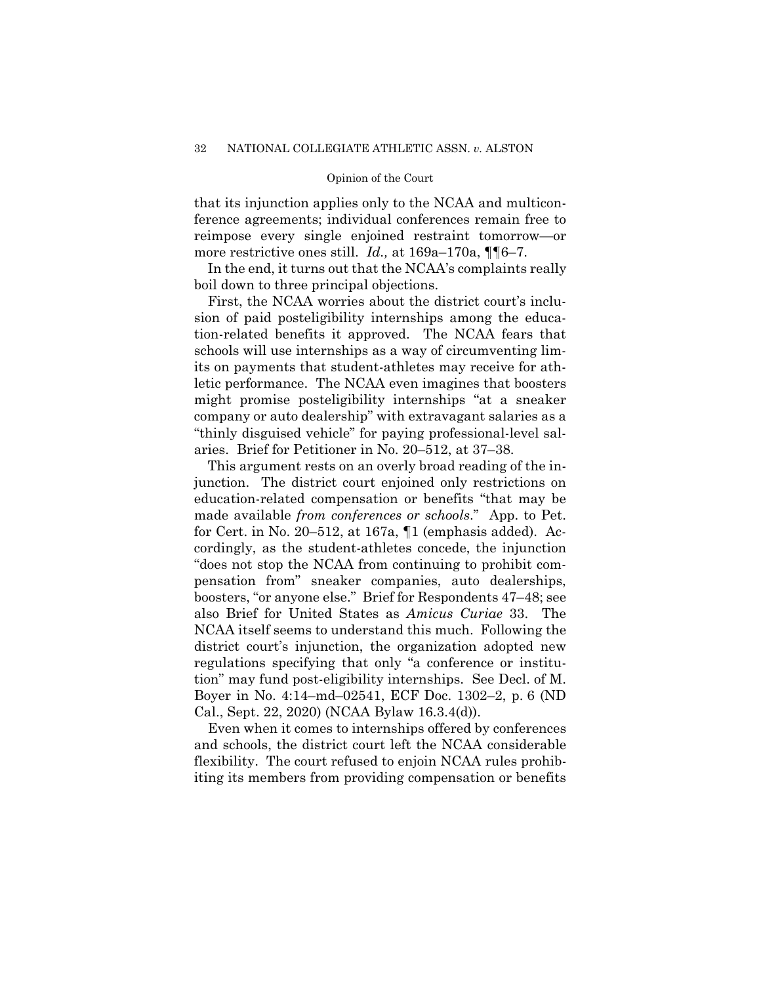ference agreements; individual conferences remain free to that its injunction applies only to the NCAA and multiconreimpose every single enjoined restraint tomorrow—or more restrictive ones still. *Id.*, at 169a–170a,  $\P\P6-7$ .

In the end, it turns out that the NCAA's complaints really boil down to three principal objections.

First, the NCAA worries about the district court's inclusion of paid posteligibility internships among the education-related benefits it approved. The NCAA fears that schools will use internships as a way of circumventing limits on payments that student-athletes may receive for athletic performance. The NCAA even imagines that boosters might promise posteligibility internships "at a sneaker company or auto dealership" with extravagant salaries as a "thinly disguised vehicle" for paying professional-level salaries. Brief for Petitioner in No. 20–512, at 37–38.

 junction. The district court enjoined only restrictions on This argument rests on an overly broad reading of the ineducation-related compensation or benefits "that may be made available *from conferences or schools*." App. to Pet. for Cert. in No. 20–512, at 167a, ¶1 (emphasis added). Accordingly, as the student-athletes concede, the injunction "does not stop the NCAA from continuing to prohibit compensation from" sneaker companies, auto dealerships, boosters, "or anyone else." Brief for Respondents 47–48; see also Brief for United States as *Amicus Curiae* 33. The NCAA itself seems to understand this much. Following the district court's injunction, the organization adopted new regulations specifying that only "a conference or institution" may fund post-eligibility internships. See Decl. of M. Boyer in No. 4:14–md–02541, ECF Doc. 1302–2, p. 6 (ND Cal., Sept. 22, 2020) (NCAA Bylaw 16.3.4(d)).

Even when it comes to internships offered by conferences and schools, the district court left the NCAA considerable flexibility. The court refused to enjoin NCAA rules prohibiting its members from providing compensation or benefits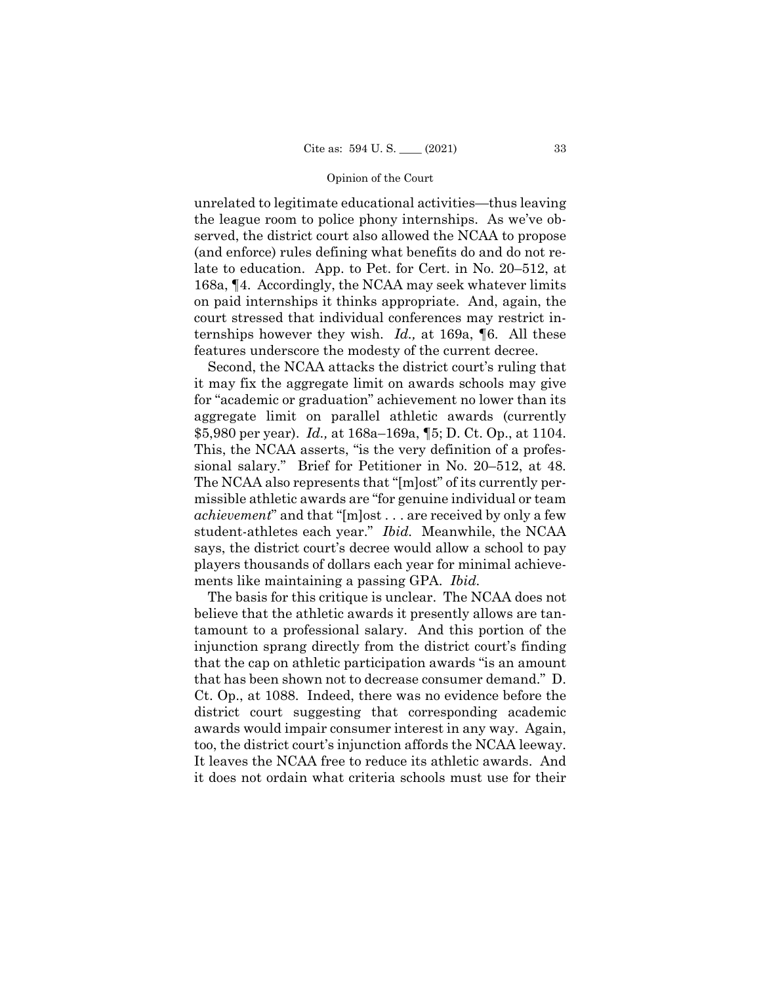unrelated to legitimate educational activities—thus leaving the league room to police phony internships. As we've observed, the district court also allowed the NCAA to propose (and enforce) rules defining what benefits do and do not relate to education. App. to Pet. for Cert. in No. 20–512, at 168a, ¶4. Accordingly, the NCAA may seek whatever limits on paid internships it thinks appropriate. And, again, the court stressed that individual conferences may restrict internships however they wish. *Id.,* at 169a, ¶6. All these features underscore the modesty of the current decree.

Second, the NCAA attacks the district court's ruling that it may fix the aggregate limit on awards schools may give for "academic or graduation" achievement no lower than its aggregate limit on parallel athletic awards (currently \$5,980 per year). *Id.,* at 168a–169a, ¶5; D. Ct. Op., at 1104. This, the NCAA asserts, "is the very definition of a professional salary." Brief for Petitioner in No. 20–512, at 48. The NCAA also represents that "[m]ost" of its currently permissible athletic awards are "for genuine individual or team *achievement*" and that "[m]ost . . . are received by only a few student-athletes each year." *Ibid.* Meanwhile, the NCAA says, the district court's decree would allow a school to pay players thousands of dollars each year for minimal achievements like maintaining a passing GPA. *Ibid.* 

The basis for this critique is unclear. The NCAA does not believe that the athletic awards it presently allows are tantamount to a professional salary. And this portion of the injunction sprang directly from the district court's finding that the cap on athletic participation awards "is an amount that has been shown not to decrease consumer demand." D. Ct. Op., at 1088. Indeed, there was no evidence before the district court suggesting that corresponding academic awards would impair consumer interest in any way. Again, too, the district court's injunction affords the NCAA leeway. It leaves the NCAA free to reduce its athletic awards. And it does not ordain what criteria schools must use for their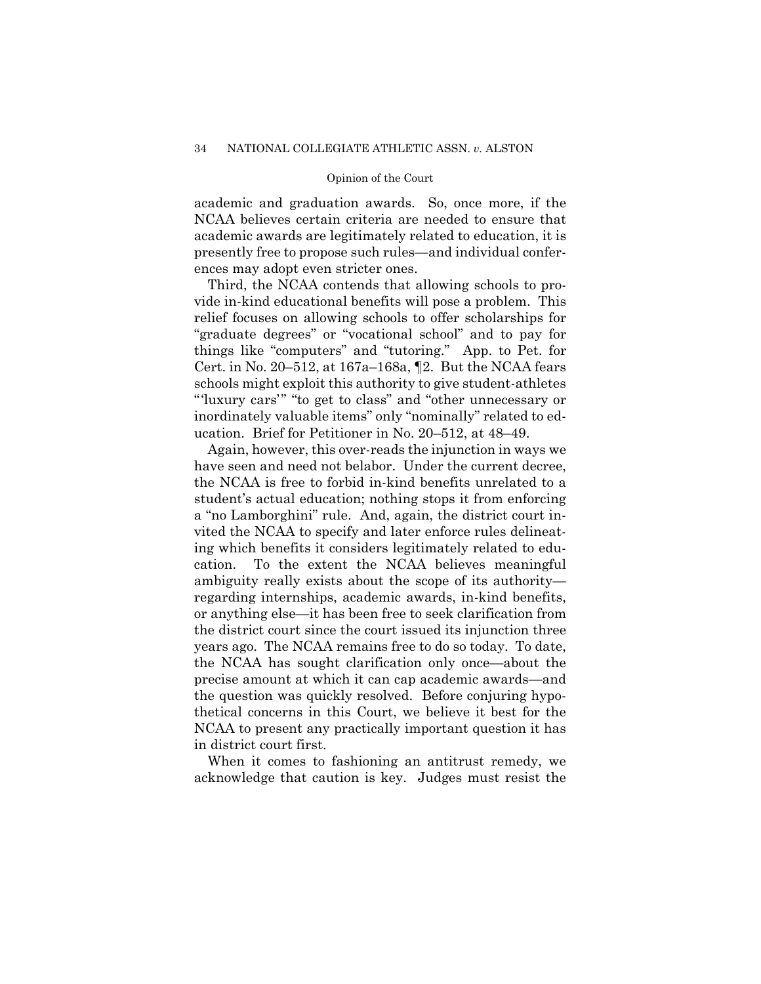academic and graduation awards. So, once more, if the NCAA believes certain criteria are needed to ensure that academic awards are legitimately related to education, it is presently free to propose such rules—and individual conferences may adopt even stricter ones.

Third, the NCAA contends that allowing schools to provide in-kind educational benefits will pose a problem. This relief focuses on allowing schools to offer scholarships for "graduate degrees" or "vocational school" and to pay for things like "computers" and "tutoring." App. to Pet. for Cert. in No. 20–512, at 167a–168a, ¶2. But the NCAA fears schools might exploit this authority to give student-athletes "'luxury cars'" "to get to class" and "other unnecessary or inordinately valuable items" only "nominally" related to education. Brief for Petitioner in No. 20–512, at 48–49.

Again, however, this over-reads the injunction in ways we have seen and need not belabor. Under the current decree, the NCAA is free to forbid in-kind benefits unrelated to a student's actual education; nothing stops it from enforcing a "no Lamborghini" rule. And, again, the district court invited the NCAA to specify and later enforce rules delineating which benefits it considers legitimately related to education. To the extent the NCAA believes meaningful ambiguity really exists about the scope of its authority regarding internships, academic awards, in-kind benefits, or anything else—it has been free to seek clarification from the district court since the court issued its injunction three years ago. The NCAA remains free to do so today. To date, the NCAA has sought clarification only once—about the precise amount at which it can cap academic awards—and the question was quickly resolved. Before conjuring hypothetical concerns in this Court, we believe it best for the NCAA to present any practically important question it has in district court first.

When it comes to fashioning an antitrust remedy, we acknowledge that caution is key. Judges must resist the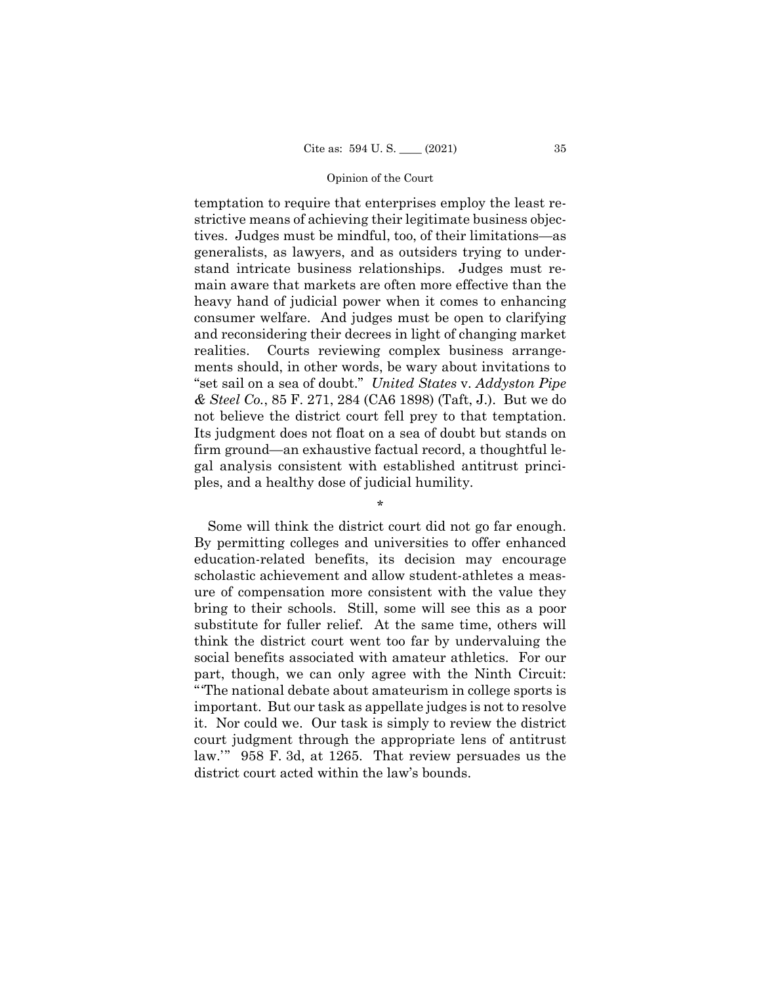temptation to require that enterprises employ the least restrictive means of achieving their legitimate business objectives. Judges must be mindful, too, of their limitations—as generalists, as lawyers, and as outsiders trying to understand intricate business relationships. Judges must remain aware that markets are often more effective than the heavy hand of judicial power when it comes to enhancing consumer welfare. And judges must be open to clarifying and reconsidering their decrees in light of changing market realities. Courts reviewing complex business arrangements should, in other words, be wary about invitations to "set sail on a sea of doubt." *United States* v. *Addyston Pipe & Steel Co.*, 85 F. 271, 284 (CA6 1898) (Taft, J.). But we do not believe the district court fell prey to that temptation. Its judgment does not float on a sea of doubt but stands on firm ground—an exhaustive factual record, a thoughtful legal analysis consistent with established antitrust principles, and a healthy dose of judicial humility.

\*

Some will think the district court did not go far enough. By permitting colleges and universities to offer enhanced education-related benefits, its decision may encourage scholastic achievement and allow student-athletes a measure of compensation more consistent with the value they bring to their schools. Still, some will see this as a poor substitute for fuller relief. At the same time, others will think the district court went too far by undervaluing the social benefits associated with amateur athletics. For our part, though, we can only agree with the Ninth Circuit: "'The national debate about amateurism in college sports is important. But our task as appellate judges is not to resolve it. Nor could we. Our task is simply to review the district court judgment through the appropriate lens of antitrust law.'" 958 F. 3d, at 1265. That review persuades us the district court acted within the law's bounds.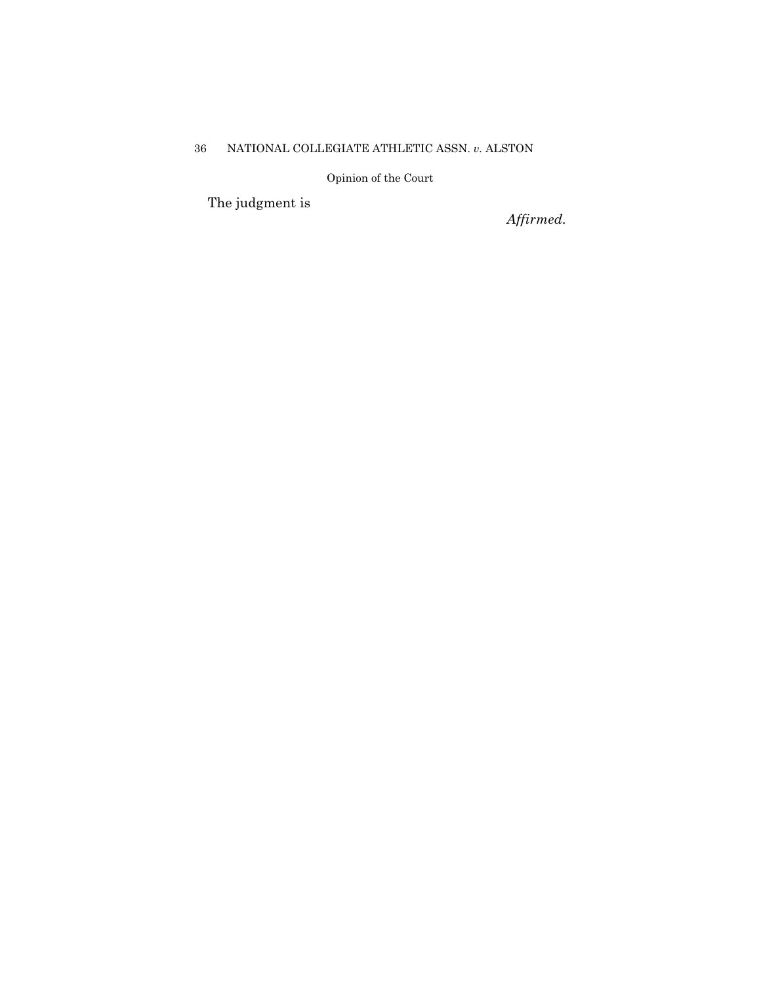## 36 NATIONAL COLLEGIATE ATHLETIC ASSN. *v.* ALSTON

Opinion of the Court

The judgment is

*Affirmed.*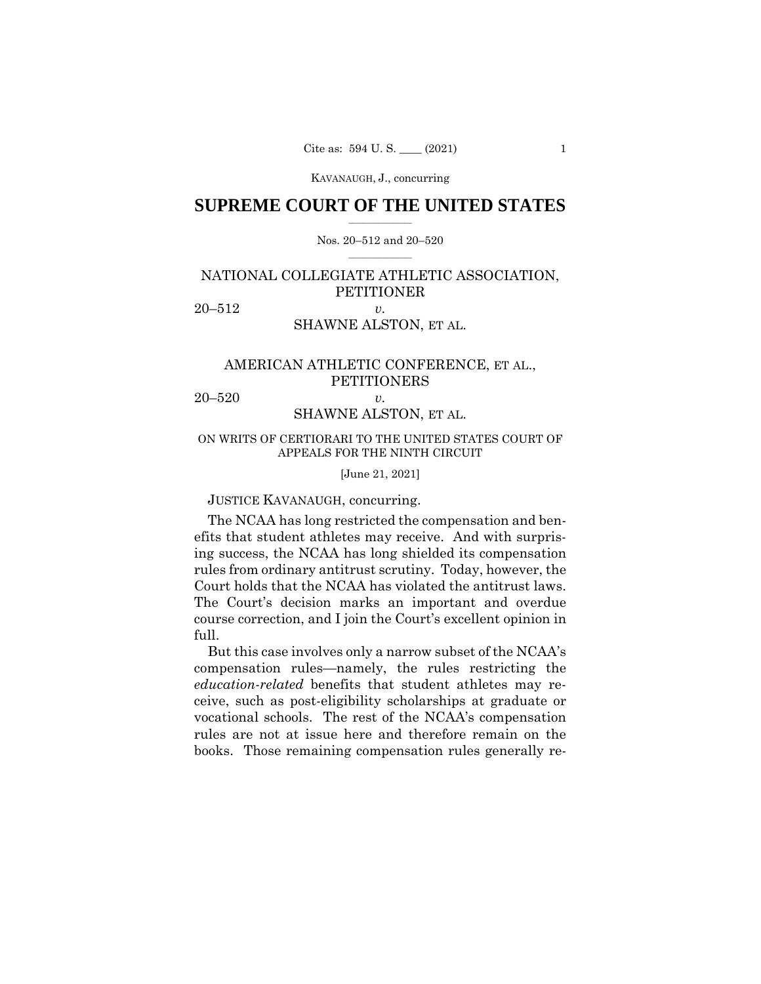## $\frac{1}{2}$  , where  $\frac{1}{2}$ **SUPREME COURT OF THE UNITED STATES**

### $\frac{1}{2}$  ,  $\frac{1}{2}$  ,  $\frac{1}{2}$  ,  $\frac{1}{2}$  ,  $\frac{1}{2}$  ,  $\frac{1}{2}$ Nos. 20–512 and 20–520

## NATIONAL COLLEGIATE ATHLETIC ASSOCIATION, **PETITIONER**

20–512 *v.* 

## SHAWNE ALSTON, ET AL.

## AMERICAN ATHLETIC CONFERENCE, ET AL., PETITIONERS

20–520 *v.* 

## SHAWNE ALSTON, ET AL.

ON WRITS OF CERTIORARI TO THE UNITED STATES COURT OF APPEALS FOR THE NINTH CIRCUIT

[June 21, 2021]

JUSTICE KAVANAUGH, concurring.

 Court holds that the NCAA has violated the antitrust laws. The NCAA has long restricted the compensation and benefits that student athletes may receive. And with surprising success, the NCAA has long shielded its compensation rules from ordinary antitrust scrutiny. Today, however, the The Court's decision marks an important and overdue course correction, and I join the Court's excellent opinion in full.

But this case involves only a narrow subset of the NCAA's compensation rules—namely, the rules restricting the *education-related* benefits that student athletes may receive, such as post-eligibility scholarships at graduate or vocational schools. The rest of the NCAA's compensation rules are not at issue here and therefore remain on the books. Those remaining compensation rules generally re-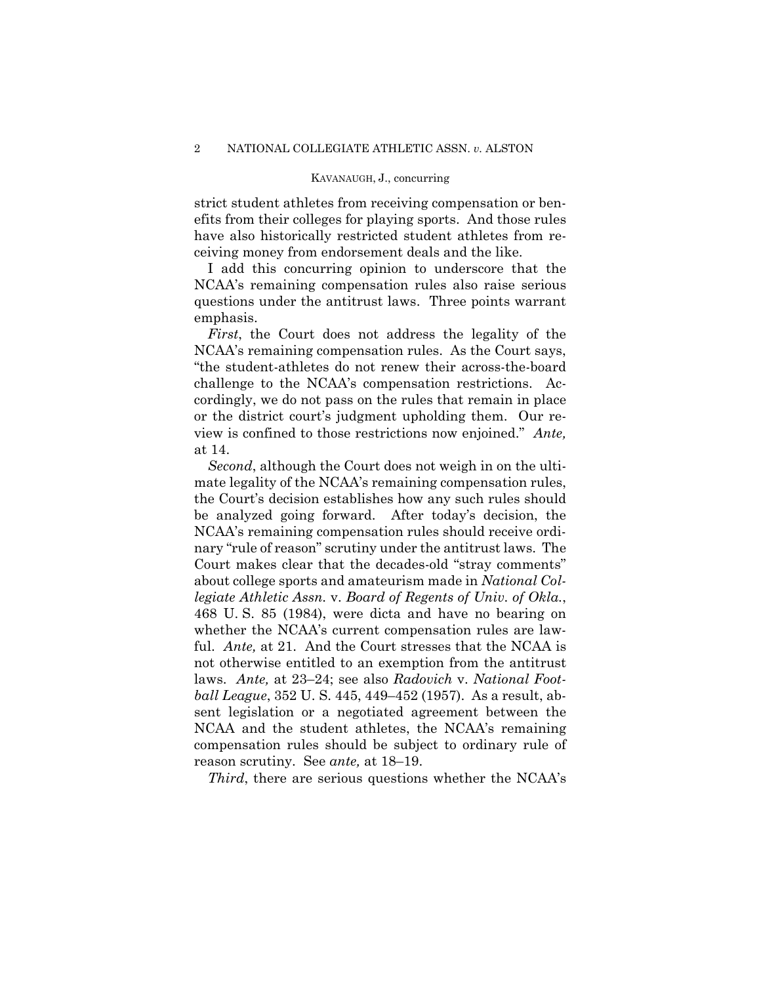strict student athletes from receiving compensation or benefits from their colleges for playing sports. And those rules have also historically restricted student athletes from receiving money from endorsement deals and the like.

I add this concurring opinion to underscore that the NCAA's remaining compensation rules also raise serious questions under the antitrust laws. Three points warrant emphasis.

*First*, the Court does not address the legality of the NCAA's remaining compensation rules. As the Court says, "the student-athletes do not renew their across-the-board challenge to the NCAA's compensation restrictions. Accordingly, we do not pass on the rules that remain in place or the district court's judgment upholding them. Our review is confined to those restrictions now enjoined." *Ante,*  at 14.

*Second*, although the Court does not weigh in on the ultimate legality of the NCAA's remaining compensation rules, the Court's decision establishes how any such rules should be analyzed going forward. After today's decision, the NCAA's remaining compensation rules should receive ordinary "rule of reason" scrutiny under the antitrust laws. The Court makes clear that the decades-old "stray comments" about college sports and amateurism made in *National Collegiate Athletic Assn.* v. *Board of Regents of Univ. of Okla.*, 468 U. S. 85 (1984), were dicta and have no bearing on whether the NCAA's current compensation rules are lawful. *Ante,* at 21. And the Court stresses that the NCAA is not otherwise entitled to an exemption from the antitrust laws. *Ante,* at 23–24; see also *Radovich* v. *National Football League*, 352 U. S. 445, 449–452 (1957). As a result, absent legislation or a negotiated agreement between the NCAA and the student athletes, the NCAA's remaining compensation rules should be subject to ordinary rule of reason scrutiny. See *ante,* at 18–19.

*Third*, there are serious questions whether the NCAA's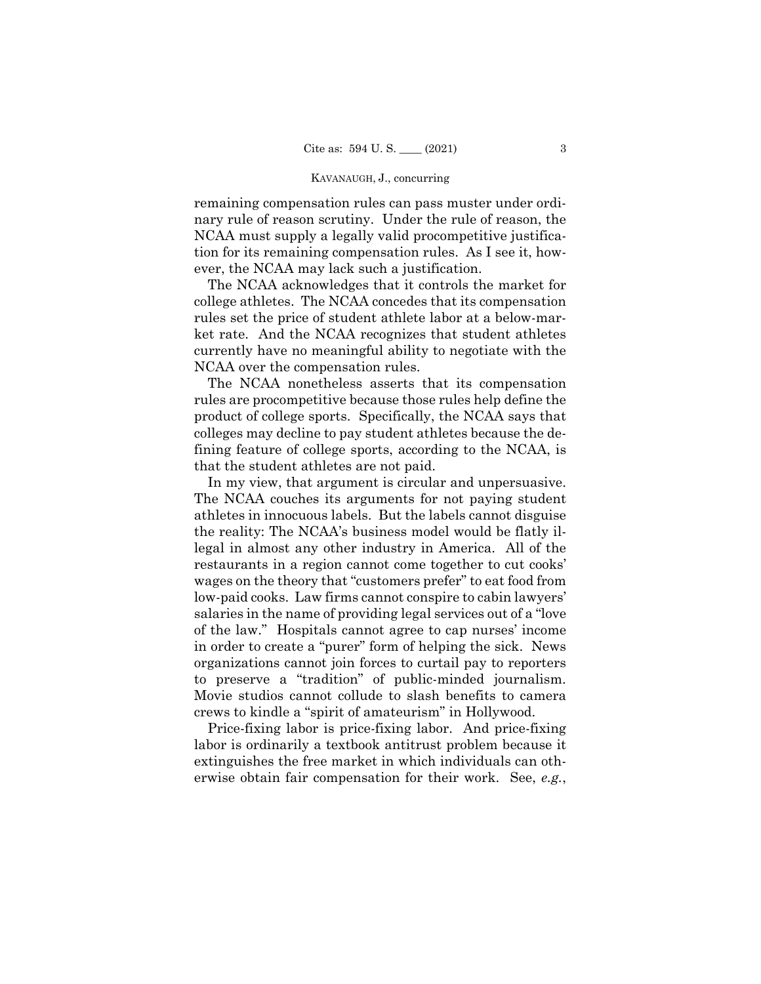remaining compensation rules can pass muster under ordinary rule of reason scrutiny. Under the rule of reason, the NCAA must supply a legally valid procompetitive justification for its remaining compensation rules. As I see it, however, the NCAA may lack such a justification.

 NCAA over the compensation rules. The NCAA acknowledges that it controls the market for college athletes. The NCAA concedes that its compensation rules set the price of student athlete labor at a below-market rate. And the NCAA recognizes that student athletes currently have no meaningful ability to negotiate with the

The NCAA nonetheless asserts that its compensation rules are procompetitive because those rules help define the product of college sports. Specifically, the NCAA says that colleges may decline to pay student athletes because the defining feature of college sports, according to the NCAA, is that the student athletes are not paid.

 to preserve a "tradition" of public-minded journalism. In my view, that argument is circular and unpersuasive. The NCAA couches its arguments for not paying student athletes in innocuous labels. But the labels cannot disguise the reality: The NCAA's business model would be flatly illegal in almost any other industry in America. All of the restaurants in a region cannot come together to cut cooks' wages on the theory that "customers prefer" to eat food from low-paid cooks. Law firms cannot conspire to cabin lawyers' salaries in the name of providing legal services out of a "love of the law." Hospitals cannot agree to cap nurses' income in order to create a "purer" form of helping the sick. News organizations cannot join forces to curtail pay to reporters Movie studios cannot collude to slash benefits to camera crews to kindle a "spirit of amateurism" in Hollywood.

Price-fixing labor is price-fixing labor. And price-fixing labor is ordinarily a textbook antitrust problem because it extinguishes the free market in which individuals can otherwise obtain fair compensation for their work. See, *e.g.*,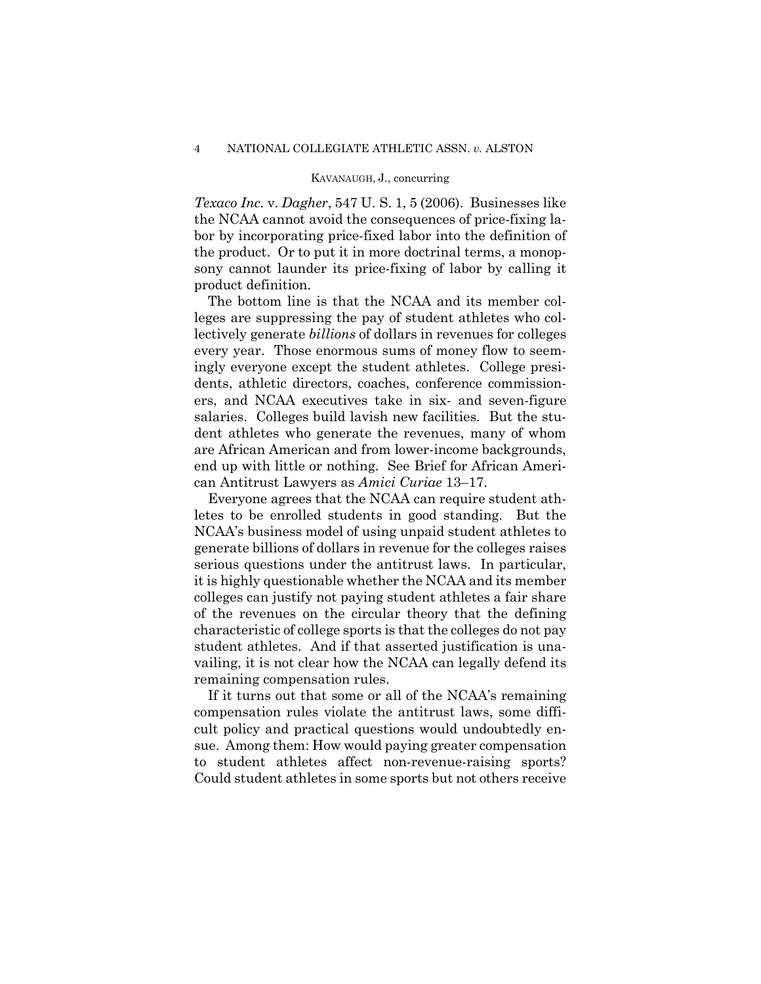*Texaco Inc.* v. *Dagher*, 547 U. S. 1, 5 (2006). Businesses like the NCAA cannot avoid the consequences of price-fixing labor by incorporating price-fixed labor into the definition of the product. Or to put it in more doctrinal terms, a monopsony cannot launder its price-fixing of labor by calling it product definition.

The bottom line is that the NCAA and its member colleges are suppressing the pay of student athletes who collectively generate *billions* of dollars in revenues for colleges every year. Those enormous sums of money flow to seemingly everyone except the student athletes. College presidents, athletic directors, coaches, conference commissioners, and NCAA executives take in six- and seven-figure salaries. Colleges build lavish new facilities. But the student athletes who generate the revenues, many of whom are African American and from lower-income backgrounds, end up with little or nothing. See Brief for African American Antitrust Lawyers as *Amici Curiae* 13–17.

Everyone agrees that the NCAA can require student athletes to be enrolled students in good standing. But the NCAA's business model of using unpaid student athletes to generate billions of dollars in revenue for the colleges raises serious questions under the antitrust laws. In particular, it is highly questionable whether the NCAA and its member colleges can justify not paying student athletes a fair share of the revenues on the circular theory that the defining characteristic of college sports is that the colleges do not pay student athletes. And if that asserted justification is unavailing, it is not clear how the NCAA can legally defend its remaining compensation rules.

If it turns out that some or all of the NCAA's remaining compensation rules violate the antitrust laws, some difficult policy and practical questions would undoubtedly ensue. Among them: How would paying greater compensation to student athletes affect non-revenue-raising sports? Could student athletes in some sports but not others receive